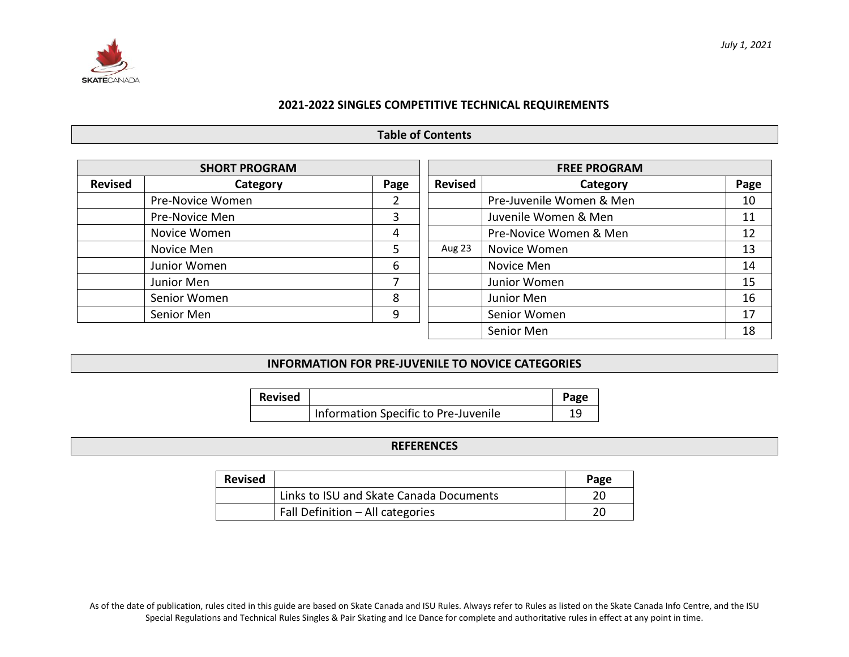

### **2021-2022 SINGLES COMPETITIVE TECHNICAL REQUIREMENTS**

### **Table of Contents**

|                | <b>SHORT PROGRAM</b> |      | <b>FREE PROGRAM</b> |                          |      |  |  |  |
|----------------|----------------------|------|---------------------|--------------------------|------|--|--|--|
| <b>Revised</b> | Category             | Page | <b>Revised</b>      | Category                 | Page |  |  |  |
|                | Pre-Novice Women     | ∠    |                     | Pre-Juvenile Women & Men | 10   |  |  |  |
|                | Pre-Novice Men       | 3    |                     | Juvenile Women & Men     | 11   |  |  |  |
|                | Novice Women         | 4    |                     | Pre-Novice Women & Men   | 12   |  |  |  |
|                | Novice Men           | 5    | Aug 23              | Novice Women             | 13   |  |  |  |
|                | Junior Women         | 6    |                     | Novice Men               | 14   |  |  |  |
|                | Junior Men           |      |                     | Junior Women             | 15   |  |  |  |
|                | Senior Women         | 8    |                     | Junior Men               | 16   |  |  |  |
|                | Senior Men           | 9    |                     | Senior Women             | 17   |  |  |  |
|                |                      |      |                     | Senior Men               | 18   |  |  |  |

### **INFORMATION FOR PRE-JUVENILE TO NOVICE CATEGORIES**

| <b>Revised</b> |                                      | Page |
|----------------|--------------------------------------|------|
|                | Information Specific to Pre-Juvenile | 1 Q  |

### **REFERENCES**

| <b>Revised</b> |                                         | Page |
|----------------|-----------------------------------------|------|
|                | Links to ISU and Skate Canada Documents |      |
|                | Fall Definition - All categories        | 20   |

As of the date of publication, rules cited in this guide are based on Skate Canada and ISU Rules. Always refer to Rules as listed on the Skate Canada Info Centre, and the ISU Special Regulations and Technical Rules Singles & Pair Skating and Ice Dance for complete and authoritative rules in effect at any point in time.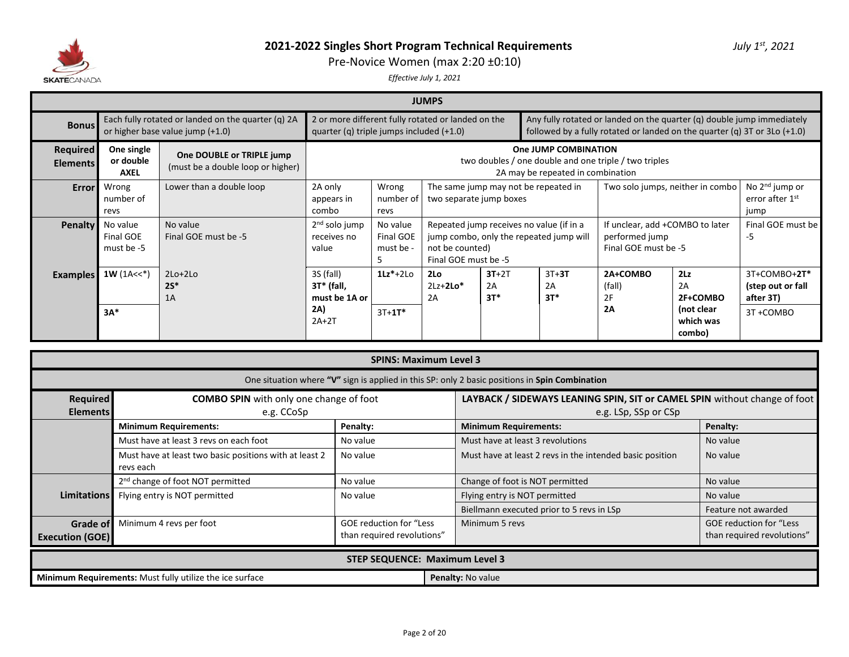

Pre-Novice Women (max 2:20 ±0:10)

|                                    | <b>JUMPS</b>                           |                                                                                        |                                                                                                |                                                                                                                    |                                                                                                                                |  |                                      |                                                                                                                                                         |                                                            |                                                            |  |  |
|------------------------------------|----------------------------------------|----------------------------------------------------------------------------------------|------------------------------------------------------------------------------------------------|--------------------------------------------------------------------------------------------------------------------|--------------------------------------------------------------------------------------------------------------------------------|--|--------------------------------------|---------------------------------------------------------------------------------------------------------------------------------------------------------|------------------------------------------------------------|------------------------------------------------------------|--|--|
| <b>Bonus</b>                       |                                        | Each fully rotated or landed on the quarter (q) 2A<br>or higher base value jump (+1.0) | 2 or more different fully rotated or landed on the<br>quarter (q) triple jumps included (+1.0) |                                                                                                                    |                                                                                                                                |  |                                      | Any fully rotated or landed on the quarter (q) double jump immediately<br>followed by a fully rotated or landed on the quarter (q) $3T$ or $3Lo$ (+1.0) |                                                            |                                                            |  |  |
| <b>Required</b><br><b>Elements</b> | One single<br>or double<br><b>AXEL</b> | One DOUBLE or TRIPLE jump<br>(must be a double loop or higher)                         |                                                                                                | One JUMP COMBINATION<br>two doubles / one double and one triple / two triples<br>2A may be repeated in combination |                                                                                                                                |  |                                      |                                                                                                                                                         |                                                            |                                                            |  |  |
| <b>Error</b>                       | Wrong<br>number of<br>revs             | Lower than a double loop                                                               | 2A only<br>appears in<br>combo                                                                 | Wrong<br>number of<br>revs                                                                                         | two separate jump boxes                                                                                                        |  | The same jump may not be repeated in |                                                                                                                                                         | Two solo jumps, neither in combo                           |                                                            |  |  |
| <b>Penalty</b>                     | No value<br>Final GOE<br>must be -5    | No value<br>Final GOE must be -5                                                       | 2 <sup>nd</sup> solo jump<br>receives no<br>value                                              | No value<br>Final GOE<br>must be -<br>כ                                                                            | Repeated jump receives no value (if in a<br>jump combo, only the repeated jump will<br>not be counted)<br>Final GOE must be -5 |  |                                      | If unclear, add +COMBO to later<br>performed jump<br>Final GOE must be -5                                                                               | Final GOE must be<br>-5                                    |                                                            |  |  |
| <b>Examples</b>                    | $1W(1A<<^*)$<br>$3A*$                  | $2Lo+2Lo$<br>$2S^*$<br>1A                                                              | 3S (fall)<br>3T* (fall,<br>must be 1A or<br>2A)<br>$2A+2T$                                     | $1Lz^* + 2Lo$<br>$3T + 1T^*$                                                                                       | $3T+2T$<br>$3T+3T$<br>2 <sub>0</sub><br>$2Lz+2Lo*$<br>2A<br>2A<br>$3T^*$<br>$3T*$<br>2A                                        |  |                                      | 2A+COMBO<br>(fall)<br>2F<br>2A                                                                                                                          | 2Lz<br>2A<br>2F+COMBO<br>(not clear<br>which was<br>combo) | 3T+COMBO+2T*<br>(step out or fall<br>after 3T)<br>3T+COMBO |  |  |

|                                    |                                                                                                                                                                           | <b>SPINS: Maximum Level 3</b> |                                                                                                   |                     |  |  |  |  |  |  |  |  |  |
|------------------------------------|---------------------------------------------------------------------------------------------------------------------------------------------------------------------------|-------------------------------|---------------------------------------------------------------------------------------------------|---------------------|--|--|--|--|--|--|--|--|--|
|                                    | One situation where "V" sign is applied in this SP: only 2 basic positions in Spin Combination                                                                            |                               |                                                                                                   |                     |  |  |  |  |  |  |  |  |  |
| <b>Required</b><br><b>Elements</b> | <b>COMBO SPIN</b> with only one change of foot<br>e.g. CCoSp                                                                                                              |                               | LAYBACK / SIDEWAYS LEANING SPIN, SIT or CAMEL SPIN without change of foot<br>e.g. LSp, SSp or CSp |                     |  |  |  |  |  |  |  |  |  |
|                                    | <b>Minimum Requirements:</b>                                                                                                                                              | Penalty:                      | <b>Minimum Requirements:</b>                                                                      | Penalty:            |  |  |  |  |  |  |  |  |  |
|                                    | Must have at least 3 revs on each foot                                                                                                                                    | No value                      | Must have at least 3 revolutions                                                                  | No value            |  |  |  |  |  |  |  |  |  |
|                                    | Must have at least two basic positions with at least 2<br>revs each                                                                                                       | No value                      | Must have at least 2 revs in the intended basic position                                          | No value            |  |  |  |  |  |  |  |  |  |
|                                    | 2 <sup>nd</sup> change of foot NOT permitted                                                                                                                              | No value                      | Change of foot is NOT permitted                                                                   | No value            |  |  |  |  |  |  |  |  |  |
| <b>Limitations</b>                 | Flying entry is NOT permitted                                                                                                                                             | No value                      | Flying entry is NOT permitted                                                                     | No value            |  |  |  |  |  |  |  |  |  |
|                                    |                                                                                                                                                                           |                               | Biellmann executed prior to 5 revs in LSp                                                         | Feature not awarded |  |  |  |  |  |  |  |  |  |
| Grade of<br><b>Execution (GOE)</b> | Minimum 4 revs per foot<br><b>GOE reduction for "Less</b><br><b>GOE reduction for "Less</b><br>Minimum 5 revs<br>than required revolutions"<br>than required revolutions" |                               |                                                                                                   |                     |  |  |  |  |  |  |  |  |  |
|                                    | <b>STEP SEQUENCE: Maximum Level 3</b>                                                                                                                                     |                               |                                                                                                   |                     |  |  |  |  |  |  |  |  |  |
|                                    | Minimum Requirements: Must fully utilize the ice surface                                                                                                                  |                               | Penalty: No value                                                                                 |                     |  |  |  |  |  |  |  |  |  |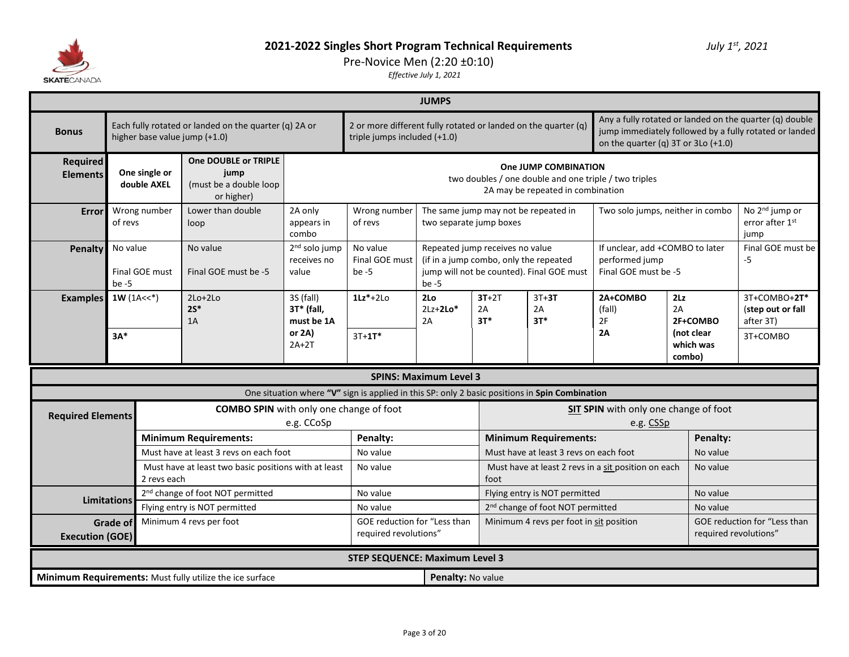

### Pre-Novice Men (2:20 ±0:10)

|                                    |                                                                                                                               |                              |                                                                                        |                                                   |                                                                                                | <b>JUMPS</b>                                                                                                                                                                                                                                                   |                                                                           |                                                                        |                                                                           |                                   |                                                       |
|------------------------------------|-------------------------------------------------------------------------------------------------------------------------------|------------------------------|----------------------------------------------------------------------------------------|---------------------------------------------------|------------------------------------------------------------------------------------------------|----------------------------------------------------------------------------------------------------------------------------------------------------------------------------------------------------------------------------------------------------------------|---------------------------------------------------------------------------|------------------------------------------------------------------------|---------------------------------------------------------------------------|-----------------------------------|-------------------------------------------------------|
| <b>Bonus</b>                       |                                                                                                                               |                              | Each fully rotated or landed on the quarter (q) 2A or<br>higher base value jump (+1.0) |                                                   |                                                                                                | Any a fully rotated or landed on the quarter (q) double<br>2 or more different fully rotated or landed on the quarter (q)<br>jump immediately followed by a fully rotated or landed<br>triple jumps included (+1.0)<br>on the quarter (q) $3T$ or $3Lo$ (+1.0) |                                                                           |                                                                        |                                                                           |                                   |                                                       |
| <b>Required</b><br><b>Elements</b> |                                                                                                                               | One single or<br>double AXEL | One DOUBLE or TRIPLE<br>jump<br>(must be a double loop<br>or higher)                   |                                                   |                                                                                                |                                                                                                                                                                                                                                                                |                                                                           | One JUMP COMBINATION<br>2A may be repeated in combination              | two doubles / one double and one triple / two triples                     |                                   |                                                       |
| <b>Error</b>                       | of revs                                                                                                                       | Wrong number                 | Lower than double<br>loop                                                              | 2A only<br>appears in<br>combo                    | Wrong number<br>of revs                                                                        | two separate jump boxes                                                                                                                                                                                                                                        | The same jump may not be repeated in                                      |                                                                        | Two solo jumps, neither in combo                                          |                                   | No 2 <sup>nd</sup> jump or<br>error after 1st<br>jump |
| <b>Penalty</b>                     | No value<br>No value<br>Final GOE must<br>Final GOE must be -5<br>$be -5$                                                     |                              |                                                                                        | 2 <sup>nd</sup> solo jump<br>receives no<br>value | No value<br>Final GOE must<br>$be -5$                                                          | be $-5$                                                                                                                                                                                                                                                        | Repeated jump receives no value<br>(if in a jump combo, only the repeated | jump will not be counted). Final GOE must                              | If unclear, add +COMBO to later<br>performed jump<br>Final GOE must be -5 |                                   | Final GOE must be<br>$-5$                             |
| <b>Examples</b>                    | $1W(1A<<^*)$                                                                                                                  |                              | $2Lo+2Lo$<br>$2S^*$<br>1A                                                              | 3S (fall)<br>3T* (fall,<br>must be 1A             | $1Lz^*+2L0$                                                                                    | 2Lo<br>$2Lz+2Lo*$<br>2A                                                                                                                                                                                                                                        | $3T+2T$<br>2A<br>$3T*$                                                    | $3T+3T$<br>2A<br>$3T*$                                                 | 2A+COMBO<br>(fall)<br>2F                                                  | 2Lz<br>2A<br>2F+COMBO             | 3T+COMBO+2T*<br>(step out or fall<br>after 3T)        |
|                                    | $3A*$                                                                                                                         |                              |                                                                                        | or 2A)<br>$2A+2T$                                 | $3T + 1T^*$                                                                                    |                                                                                                                                                                                                                                                                |                                                                           |                                                                        | 2A                                                                        | Inot clear<br>which was<br>combo) | 3T+COMBO                                              |
|                                    |                                                                                                                               |                              |                                                                                        |                                                   |                                                                                                | <b>SPINS: Maximum Level 3</b>                                                                                                                                                                                                                                  |                                                                           |                                                                        |                                                                           |                                   |                                                       |
|                                    |                                                                                                                               |                              |                                                                                        |                                                   | One situation where "V" sign is applied in this SP: only 2 basic positions in Spin Combination |                                                                                                                                                                                                                                                                |                                                                           |                                                                        |                                                                           |                                   |                                                       |
| <b>Required Elements</b>           |                                                                                                                               |                              | <b>COMBO SPIN</b> with only one change of foot                                         |                                                   |                                                                                                |                                                                                                                                                                                                                                                                |                                                                           |                                                                        | <b>SIT SPIN</b> with only one change of foot                              |                                   |                                                       |
|                                    |                                                                                                                               |                              |                                                                                        | e.g. CCoSp                                        |                                                                                                |                                                                                                                                                                                                                                                                |                                                                           |                                                                        | e.g. CSSp                                                                 |                                   |                                                       |
|                                    |                                                                                                                               |                              | <b>Minimum Requirements:</b><br>Must have at least 3 revs on each foot                 |                                                   | Penalty:<br>No value                                                                           |                                                                                                                                                                                                                                                                |                                                                           | <b>Minimum Requirements:</b><br>Must have at least 3 revs on each foot |                                                                           | Penalty:<br>No value              |                                                       |
|                                    |                                                                                                                               | 2 revs each                  | Must have at least two basic positions with at least                                   |                                                   | No value                                                                                       |                                                                                                                                                                                                                                                                | foot                                                                      |                                                                        | Must have at least 2 revs in a sit position on each                       | No value                          |                                                       |
|                                    |                                                                                                                               |                              | 2 <sup>nd</sup> change of foot NOT permitted                                           |                                                   | No value                                                                                       |                                                                                                                                                                                                                                                                |                                                                           | Flying entry is NOT permitted                                          |                                                                           | No value                          |                                                       |
|                                    | <b>Limitations</b><br>Flying entry is NOT permitted                                                                           |                              |                                                                                        |                                                   | No value                                                                                       |                                                                                                                                                                                                                                                                |                                                                           | 2 <sup>nd</sup> change of foot NOT permitted                           |                                                                           | No value                          |                                                       |
|                                    | Minimum 4 revs per foot<br>GOE reduction for "Less than<br><b>Grade of</b><br>required revolutions"<br><b>Execution (GOE)</b> |                              |                                                                                        |                                                   |                                                                                                |                                                                                                                                                                                                                                                                |                                                                           | Minimum 4 revs per foot in sit position                                |                                                                           |                                   | GOE reduction for "Less than<br>required revolutions" |
|                                    |                                                                                                                               |                              |                                                                                        |                                                   | <b>STEP SEQUENCE: Maximum Level 3</b>                                                          |                                                                                                                                                                                                                                                                |                                                                           |                                                                        |                                                                           |                                   |                                                       |
|                                    |                                                                                                                               |                              | Minimum Requirements: Must fully utilize the ice surface                               |                                                   |                                                                                                | Penalty: No value                                                                                                                                                                                                                                              |                                                                           |                                                                        |                                                                           |                                   |                                                       |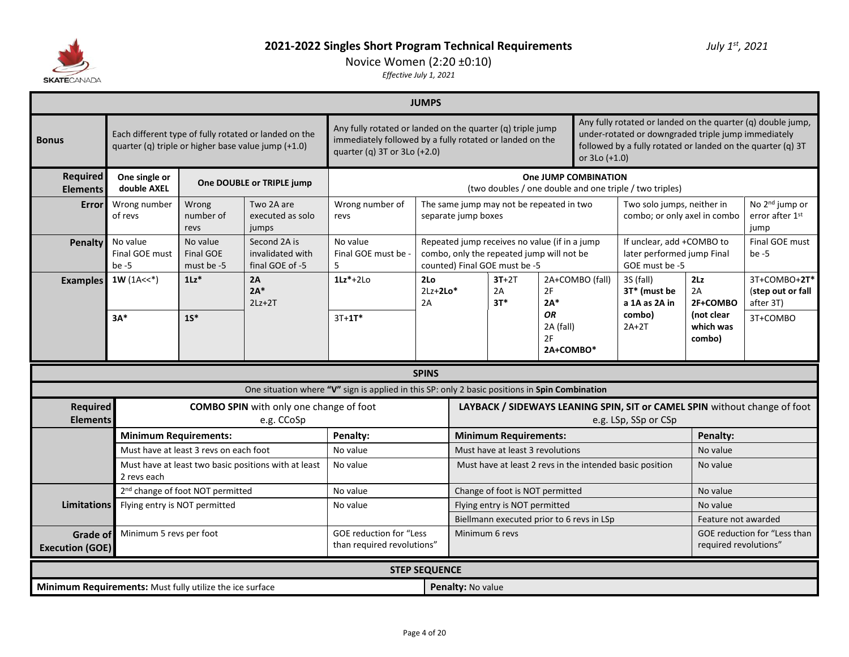

# Novice Women (2:20 ±0:10)

|                                                                                                                               |                                                     |                                              |                                                              |                                                                                                | <b>JUMPS</b>            |                                                                                                                                                                                                                                                                                                                              |                                                                                                                             |                                    |                      |                                                                                                   |                                              |                                                       |
|-------------------------------------------------------------------------------------------------------------------------------|-----------------------------------------------------|----------------------------------------------|--------------------------------------------------------------|------------------------------------------------------------------------------------------------|-------------------------|------------------------------------------------------------------------------------------------------------------------------------------------------------------------------------------------------------------------------------------------------------------------------------------------------------------------------|-----------------------------------------------------------------------------------------------------------------------------|------------------------------------|----------------------|---------------------------------------------------------------------------------------------------|----------------------------------------------|-------------------------------------------------------|
| <b>Bonus</b>                                                                                                                  | quarter (q) triple or higher base value jump (+1.0) |                                              | Each different type of fully rotated or landed on the        | quarter (q) $3T$ or $3Lo$ (+2.0)                                                               |                         | Any fully rotated or landed on the quarter (q) double jump,<br>Any fully rotated or landed on the quarter (q) triple jump<br>under-rotated or downgraded triple jump immediately<br>immediately followed by a fully rotated or landed on the<br>followed by a fully rotated or landed on the quarter (q) 3T<br>or 3Lo (+1.0) |                                                                                                                             |                                    |                      |                                                                                                   |                                              |                                                       |
| <b>Required</b><br><b>Elements</b>                                                                                            | One single or<br>double AXEL                        |                                              | One DOUBLE or TRIPLE jump                                    |                                                                                                |                         |                                                                                                                                                                                                                                                                                                                              |                                                                                                                             |                                    | One JUMP COMBINATION | (two doubles / one double and one triple / two triples)                                           |                                              |                                                       |
| <b>Error</b>                                                                                                                  | Wrong number<br>of revs                             | Wrong<br>number of<br>revs                   | Two 2A are<br>executed as solo<br>jumps                      | Wrong number of<br>revs                                                                        | separate jump boxes     |                                                                                                                                                                                                                                                                                                                              | The same jump may not be repeated in two                                                                                    |                                    |                      | Two solo jumps, neither in<br>combo; or only axel in combo                                        |                                              | No 2 <sup>nd</sup> jump or<br>error after 1st<br>jump |
| <b>Penalty</b>                                                                                                                | No value<br>Final GOE must<br>$be -5$               | No value<br><b>Final GOE</b><br>must be -5   | Second 2A is<br>invalidated with<br>final GOE of -5          | No value<br>Final GOE must be<br>5                                                             |                         |                                                                                                                                                                                                                                                                                                                              | Repeated jump receives no value (if in a jump<br>combo, only the repeated jump will not be<br>counted) Final GOE must be -5 |                                    |                      | If unclear, add +COMBO to<br>later performed jump Final<br>GOE must be -5                         |                                              | Final GOE must<br>be $-5$                             |
| <b>Examples</b>                                                                                                               | $1W(1A<<^*)$                                        | $1Lz$ <sup>*</sup>                           | 2A<br>$2A*$<br>$2Lz+2T$                                      | $1Lz^*+2L0$                                                                                    | 2Lo<br>$2Lz+2Lo*$<br>2A |                                                                                                                                                                                                                                                                                                                              | $3T+2T$<br>2A<br>$3T*$                                                                                                      | 2F<br>$2A*$                        | 2A+COMBO (fall)      | 3S (fall)<br>3T* (must be<br>a 1A as 2A in                                                        | 2Lz<br>2A<br>2F+COMBO                        | 3T+COMBO+2T*<br>(step out or fall<br>after 3T)        |
|                                                                                                                               | $3A*$                                               | $1S^*$                                       |                                                              | $3T+1T*$                                                                                       |                         |                                                                                                                                                                                                                                                                                                                              |                                                                                                                             | ΟR<br>2A (fall)<br>2F<br>2A+COMBO* |                      | combo)<br>$2A+2T$                                                                                 | (not clear<br>which was<br>combo)            | 3T+COMBO                                              |
|                                                                                                                               |                                                     |                                              |                                                              | One situation where "V" sign is applied in this SP: only 2 basic positions in Spin Combination | <b>SPINS</b>            |                                                                                                                                                                                                                                                                                                                              |                                                                                                                             |                                    |                      |                                                                                                   |                                              |                                                       |
| <b>Required</b><br><b>Elements</b>                                                                                            |                                                     |                                              | <b>COMBO SPIN</b> with only one change of foot<br>e.g. CCoSp |                                                                                                |                         |                                                                                                                                                                                                                                                                                                                              |                                                                                                                             |                                    |                      | LAYBACK / SIDEWAYS LEANING SPIN, SIT or CAMEL SPIN without change of foot<br>e.g. LSp, SSp or CSp |                                              |                                                       |
|                                                                                                                               | <b>Minimum Requirements:</b>                        |                                              |                                                              | Penalty:                                                                                       |                         |                                                                                                                                                                                                                                                                                                                              | <b>Minimum Requirements:</b>                                                                                                |                                    |                      |                                                                                                   | Penalty:                                     |                                                       |
|                                                                                                                               |                                                     | Must have at least 3 revs on each foot       |                                                              | No value                                                                                       |                         |                                                                                                                                                                                                                                                                                                                              | Must have at least 3 revolutions                                                                                            |                                    |                      |                                                                                                   | No value                                     |                                                       |
|                                                                                                                               | 2 revs each                                         |                                              | Must have at least two basic positions with at least         | No value                                                                                       |                         |                                                                                                                                                                                                                                                                                                                              |                                                                                                                             |                                    |                      | Must have at least 2 revs in the intended basic position                                          | No value                                     |                                                       |
|                                                                                                                               |                                                     | 2 <sup>nd</sup> change of foot NOT permitted |                                                              | No value                                                                                       |                         |                                                                                                                                                                                                                                                                                                                              | Change of foot is NOT permitted                                                                                             |                                    |                      |                                                                                                   | No value                                     |                                                       |
| <b>Limitations</b>                                                                                                            | Flying entry is NOT permitted                       |                                              |                                                              | No value                                                                                       |                         |                                                                                                                                                                                                                                                                                                                              | Flying entry is NOT permitted                                                                                               |                                    |                      |                                                                                                   | No value                                     |                                                       |
| Minimum 5 revs per foot<br><b>GOE reduction for "Less</b><br>Grade of<br>than required revolutions"<br><b>Execution (GOE)</b> |                                                     |                                              |                                                              |                                                                                                |                         |                                                                                                                                                                                                                                                                                                                              | Biellmann executed prior to 6 revs in LSp<br>Minimum 6 revs                                                                 |                                    |                      |                                                                                                   | Feature not awarded<br>required revolutions" | GOE reduction for "Less than                          |
|                                                                                                                               |                                                     |                                              |                                                              |                                                                                                | <b>STEP SEQUENCE</b>    |                                                                                                                                                                                                                                                                                                                              |                                                                                                                             |                                    |                      |                                                                                                   |                                              |                                                       |
| Minimum Requirements: Must fully utilize the ice surface                                                                      |                                                     |                                              |                                                              |                                                                                                | Penalty: No value       |                                                                                                                                                                                                                                                                                                                              |                                                                                                                             |                                    |                      |                                                                                                   |                                              |                                                       |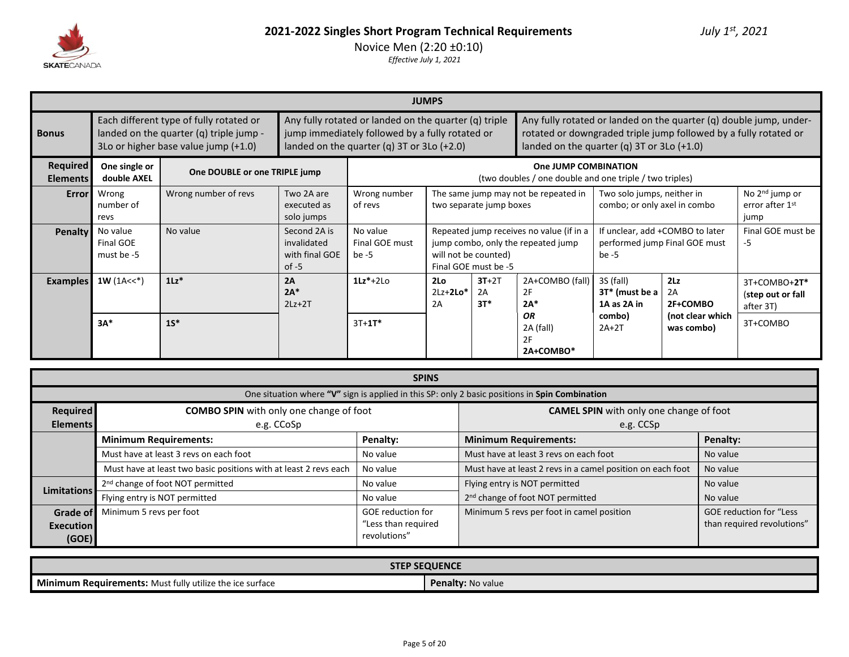

|                             | <b>JUMPS</b>                                                                                                               |                               |                                                          |                                     |                                                                                                                                                                                                                                                                                                                                                        |                                              |                                                                                 |                                                |                                                                  |                                                |  |
|-----------------------------|----------------------------------------------------------------------------------------------------------------------------|-------------------------------|----------------------------------------------------------|-------------------------------------|--------------------------------------------------------------------------------------------------------------------------------------------------------------------------------------------------------------------------------------------------------------------------------------------------------------------------------------------------------|----------------------------------------------|---------------------------------------------------------------------------------|------------------------------------------------|------------------------------------------------------------------|------------------------------------------------|--|
| <b>Bonus</b>                | Each different type of fully rotated or<br>landed on the quarter (q) triple jump -<br>3Lo or higher base value jump (+1.0) |                               |                                                          |                                     | Any fully rotated or landed on the quarter (q) triple<br>Any fully rotated or landed on the quarter (q) double jump, under-<br>jump immediately followed by a fully rotated or<br>rotated or downgraded triple jump followed by a fully rotated or<br>landed on the quarter (q) $3T$ or $3Lo$ (+2.0)<br>landed on the quarter (q) $3T$ or $3Lo$ (+1.0) |                                              |                                                                                 |                                                |                                                                  |                                                |  |
| Required<br><b>Elements</b> | One single or<br>double AXEL                                                                                               | One DOUBLE or one TRIPLE jump |                                                          |                                     |                                                                                                                                                                                                                                                                                                                                                        |                                              | One JUMP COMBINATION<br>(two doubles / one double and one triple / two triples) |                                                |                                                                  |                                                |  |
| <b>Error</b>                | Wrong<br>number of<br>revs                                                                                                 | Wrong number of revs          | Two 2A are<br>executed as<br>solo jumps                  | Wrong number<br>of revs             |                                                                                                                                                                                                                                                                                                                                                        | two separate jump boxes                      | The same jump may not be repeated in                                            |                                                | Two solo jumps, neither in<br>combo; or only axel in combo       |                                                |  |
| <b>Penalty</b>              | No value<br>Final GOE<br>must be -5                                                                                        | No value                      | Second 2A is<br>invalidated<br>with final GOE<br>$of -5$ | No value<br>Final GOE must<br>be -5 |                                                                                                                                                                                                                                                                                                                                                        | will not be counted)<br>Final GOE must be -5 | Repeated jump receives no value (if in a<br>jump combo, only the repeated jump  | be -5                                          | If unclear, add +COMBO to later<br>performed jump Final GOE must | Final GOE must be<br>-5                        |  |
| <b>Examples</b>             | $1W(1A<<^*)$                                                                                                               | $1\mathsf{Lz}^*$              | 2A<br>$2A*$<br>$2Lz+2T$                                  | $1Lz^*+2L0$                         | 2 <sub>Lo</sub><br>$2Lz+2Lo*$<br>2A                                                                                                                                                                                                                                                                                                                    | $3T+2T$<br>2A<br>$3T*$                       | 2A+COMBO (fall)<br>2F<br>$2A*$                                                  | 3S (fall)<br>3T* (must be a $ $<br>1A as 2A in | 2Lz<br>2A<br>2F+COMBO                                            | 3T+COMBO+2T*<br>(step out or fall<br>after 3T) |  |
|                             | $3A*$                                                                                                                      | $1S^*$                        |                                                          | $3T + 1T^*$                         |                                                                                                                                                                                                                                                                                                                                                        |                                              | <b>OR</b><br>2A (fall)<br>2F<br>2A+COMBO*                                       | combo)<br>$2A+2T$                              | (not clear which<br>was combo)                                   | 3T+COMBO                                       |  |

|                             |                                                                                                | <b>SPINS</b>                        |                                                             |                                |  |  |  |  |  |  |  |  |
|-----------------------------|------------------------------------------------------------------------------------------------|-------------------------------------|-------------------------------------------------------------|--------------------------------|--|--|--|--|--|--|--|--|
|                             | One situation where "V" sign is applied in this SP: only 2 basic positions in Spin Combination |                                     |                                                             |                                |  |  |  |  |  |  |  |  |
| Required<br><b>Elements</b> | <b>COMBO SPIN</b> with only one change of foot<br>e.g. CCoSp                                   |                                     | <b>CAMEL SPIN</b> with only one change of foot<br>e.g. CCSp |                                |  |  |  |  |  |  |  |  |
|                             | <b>Minimum Requirements:</b>                                                                   | Penalty:                            | <b>Minimum Requirements:</b>                                | Penalty:                       |  |  |  |  |  |  |  |  |
|                             | Must have at least 3 revs on each foot                                                         | No value                            | Must have at least 3 revs on each foot                      | No value                       |  |  |  |  |  |  |  |  |
|                             | Must have at least two basic positions with at least 2 revs each                               | No value                            | Must have at least 2 revs in a camel position on each foot  | No value                       |  |  |  |  |  |  |  |  |
| <b>Limitations</b>          | 2 <sup>nd</sup> change of foot NOT permitted                                                   | No value                            | Flying entry is NOT permitted                               | No value                       |  |  |  |  |  |  |  |  |
|                             | Flying entry is NOT permitted                                                                  | No value                            | 2 <sup>nd</sup> change of foot NOT permitted                | No value                       |  |  |  |  |  |  |  |  |
| Grade of                    | Minimum 5 revs per foot                                                                        | <b>GOE</b> reduction for            | Minimum 5 revs per foot in camel position                   | <b>GOE reduction for "Less</b> |  |  |  |  |  |  |  |  |
| <b>Execution</b><br>(GOE)   |                                                                                                | "Less than required<br>revolutions" |                                                             | than required revolutions"     |  |  |  |  |  |  |  |  |

| <b>STEP SEQUENCE</b>                                     |                          |  |  |  |  |  |  |  |
|----------------------------------------------------------|--------------------------|--|--|--|--|--|--|--|
| Minimum Requirements: Must fully utilize the ice surface | <b>Penalty:</b> No value |  |  |  |  |  |  |  |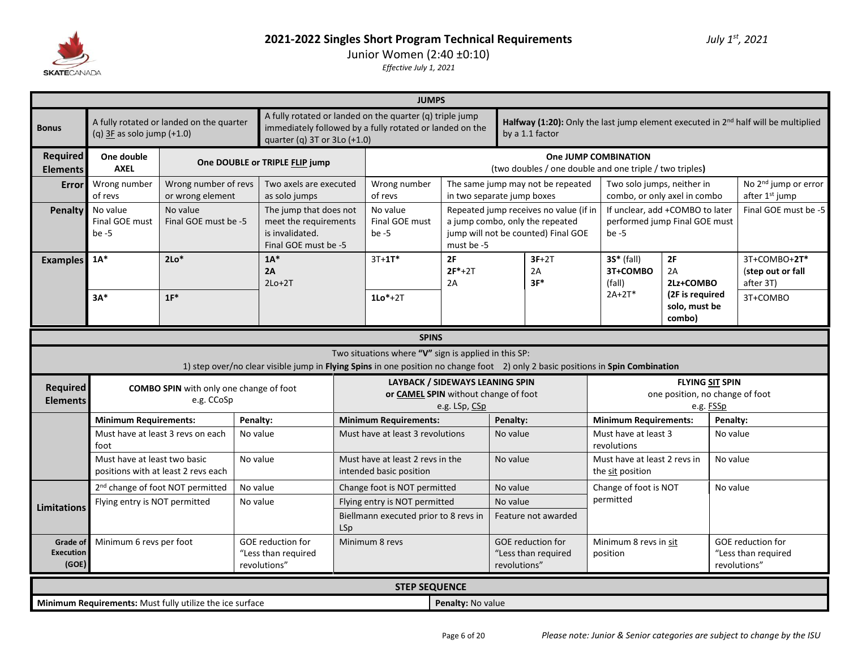

| A fully rotated or landed on the quarter (q) triple jump<br>A fully rotated or landed on the quarter<br>Halfway (1:20): Only the last jump element executed in 2 <sup>nd</sup> half will be multiplied<br>immediately followed by a fully rotated or landed on the<br><b>Bonus</b><br>(q) $3E$ as solo jump $(+1.0)$<br>by a 1.1 factor<br>quarter (q) 3T or 3Lo (+1.0)<br><b>Required</b><br>One double<br>One JUMP COMBINATION<br>One DOUBLE or TRIPLE FLIP jump<br><b>AXEL</b><br>(two doubles / one double and one triple / two triples)<br><b>Elements</b><br>Wrong number<br>Wrong number of revs<br>Two axels are executed<br>Wrong number<br>The same jump may not be repeated<br>Two solo jumps, neither in<br>Error<br>or wrong element<br>of revs<br>of revs<br>as solo jumps<br>in two separate jump boxes<br>combo, or only axel in combo<br>after 1 <sup>st</sup> jump<br>No value<br>No value<br>No value<br>The jump that does not<br>Repeated jump receives no value (if in<br>If unclear, add +COMBO to later<br>Penalty<br>Final GOE must<br>Final GOE must be -5<br>meet the requirements<br>Final GOE must<br>a jump combo, only the repeated<br>performed jump Final GOE must<br>is invalidated.<br>jump will not be counted) Final GOE<br>be $-5$<br>be $-5$<br>be $-5$<br>Final GOE must be -5<br>must be -5<br>$1A^*$<br>$2Lo*$<br>$1A^*$<br>$3T + 1T^*$<br>2F<br>$3F+2T$<br>$35*$ (fall)<br>2F<br>3T+COMBO+2T*<br><b>Examples</b><br>$2F*+2T$<br>3T+COMBO<br>2A<br>2A<br>2A<br>(step out or fall<br>$3F*$<br>2Lz+COMBO<br>$2Lo+2T$<br>2A<br>(fall)<br>after 3T)<br>$2A+2T*$<br>(2F is required<br>$1F^*$<br>$3A*$<br>$1Lo*+2T$<br>3T+COMBO<br>solo, must be<br>combo)<br><b>SPINS</b><br>Two situations where "V" sign is applied in this SP:<br>1) step over/no clear visible jump in Flying Spins in one position no change foot 2) only 2 basic positions in Spin Combination<br><b>LAYBACK / SIDEWAYS LEANING SPIN</b><br><b>FLYING SIT SPIN</b><br><b>Required</b><br><b>COMBO SPIN</b> with only one change of foot<br>or CAMEL SPIN without change of foot<br>one position, no change of foot<br><b>Elements</b><br>e.g. CCoSp<br>e.g. LSp, CSp<br>e.g. FSSp<br><b>Minimum Requirements:</b><br>Penalty:<br><b>Minimum Requirements:</b><br>Penalty:<br><b>Minimum Requirements:</b><br>Penalty:<br>Must have at least 3 revs on each<br>Must have at least 3<br>No value<br>Must have at least 3 revolutions<br>No value<br>No value<br>foot<br>revolutions<br>Must have at least two basic<br>No value<br>Must have at least 2 revs in the<br>No value<br>Must have at least 2 revs in<br>No value<br>positions with at least 2 revs each<br>intended basic position<br>the sit position<br>2 <sup>nd</sup> change of foot NOT permitted<br>No value<br>No value<br>Change of foot is NOT<br>No value<br>Change foot is NOT permitted<br>permitted<br>Flying entry is NOT permitted<br>No value<br>Flying entry is NOT permitted<br>No value<br><b>Limitations</b><br>Biellmann executed prior to 8 revs in<br>Feature not awarded<br>LSp<br>Minimum 6 revs per foot<br><b>GOE</b> reduction for<br>Minimum 8 revs<br><b>GOE reduction for</b><br><b>GOE</b> reduction for<br>Minimum 8 revs in sit<br>Grade of<br><b>Execution</b><br>"Less than required<br>"Less than required<br>"Less than required<br>position<br>(GOE)<br>revolutions"<br>revolutions"<br>revolutions"<br><b>STEP SEQUENCE</b> |  |  |  |  | <b>JUMPS</b> |  |  |  |  |                                  |
|------------------------------------------------------------------------------------------------------------------------------------------------------------------------------------------------------------------------------------------------------------------------------------------------------------------------------------------------------------------------------------------------------------------------------------------------------------------------------------------------------------------------------------------------------------------------------------------------------------------------------------------------------------------------------------------------------------------------------------------------------------------------------------------------------------------------------------------------------------------------------------------------------------------------------------------------------------------------------------------------------------------------------------------------------------------------------------------------------------------------------------------------------------------------------------------------------------------------------------------------------------------------------------------------------------------------------------------------------------------------------------------------------------------------------------------------------------------------------------------------------------------------------------------------------------------------------------------------------------------------------------------------------------------------------------------------------------------------------------------------------------------------------------------------------------------------------------------------------------------------------------------------------------------------------------------------------------------------------------------------------------------------------------------------------------------------------------------------------------------------------------------------------------------------------------------------------------------------------------------------------------------------------------------------------------------------------------------------------------------------------------------------------------------------------------------------------------------------------------------------------------------------------------------------------------------------------------------------------------------------------------------------------------------------------------------------------------------------------------------------------------------------------------------------------------------------------------------------------------------------------------------------------------------------------------------------------------------------------------------------------------------------------------------------------------------------------------------------------------------------------------------------------------------------------------------------------------------------------------------------------------------------------------------------------------------------------------------------------------------------------------------------------------------------------------------|--|--|--|--|--------------|--|--|--|--|----------------------------------|
|                                                                                                                                                                                                                                                                                                                                                                                                                                                                                                                                                                                                                                                                                                                                                                                                                                                                                                                                                                                                                                                                                                                                                                                                                                                                                                                                                                                                                                                                                                                                                                                                                                                                                                                                                                                                                                                                                                                                                                                                                                                                                                                                                                                                                                                                                                                                                                                                                                                                                                                                                                                                                                                                                                                                                                                                                                                                                                                                                                                                                                                                                                                                                                                                                                                                                                                                                                                                                                          |  |  |  |  |              |  |  |  |  |                                  |
|                                                                                                                                                                                                                                                                                                                                                                                                                                                                                                                                                                                                                                                                                                                                                                                                                                                                                                                                                                                                                                                                                                                                                                                                                                                                                                                                                                                                                                                                                                                                                                                                                                                                                                                                                                                                                                                                                                                                                                                                                                                                                                                                                                                                                                                                                                                                                                                                                                                                                                                                                                                                                                                                                                                                                                                                                                                                                                                                                                                                                                                                                                                                                                                                                                                                                                                                                                                                                                          |  |  |  |  |              |  |  |  |  |                                  |
|                                                                                                                                                                                                                                                                                                                                                                                                                                                                                                                                                                                                                                                                                                                                                                                                                                                                                                                                                                                                                                                                                                                                                                                                                                                                                                                                                                                                                                                                                                                                                                                                                                                                                                                                                                                                                                                                                                                                                                                                                                                                                                                                                                                                                                                                                                                                                                                                                                                                                                                                                                                                                                                                                                                                                                                                                                                                                                                                                                                                                                                                                                                                                                                                                                                                                                                                                                                                                                          |  |  |  |  |              |  |  |  |  | No 2 <sup>nd</sup> jump or error |
|                                                                                                                                                                                                                                                                                                                                                                                                                                                                                                                                                                                                                                                                                                                                                                                                                                                                                                                                                                                                                                                                                                                                                                                                                                                                                                                                                                                                                                                                                                                                                                                                                                                                                                                                                                                                                                                                                                                                                                                                                                                                                                                                                                                                                                                                                                                                                                                                                                                                                                                                                                                                                                                                                                                                                                                                                                                                                                                                                                                                                                                                                                                                                                                                                                                                                                                                                                                                                                          |  |  |  |  |              |  |  |  |  | Final GOE must be -5             |
|                                                                                                                                                                                                                                                                                                                                                                                                                                                                                                                                                                                                                                                                                                                                                                                                                                                                                                                                                                                                                                                                                                                                                                                                                                                                                                                                                                                                                                                                                                                                                                                                                                                                                                                                                                                                                                                                                                                                                                                                                                                                                                                                                                                                                                                                                                                                                                                                                                                                                                                                                                                                                                                                                                                                                                                                                                                                                                                                                                                                                                                                                                                                                                                                                                                                                                                                                                                                                                          |  |  |  |  |              |  |  |  |  |                                  |
|                                                                                                                                                                                                                                                                                                                                                                                                                                                                                                                                                                                                                                                                                                                                                                                                                                                                                                                                                                                                                                                                                                                                                                                                                                                                                                                                                                                                                                                                                                                                                                                                                                                                                                                                                                                                                                                                                                                                                                                                                                                                                                                                                                                                                                                                                                                                                                                                                                                                                                                                                                                                                                                                                                                                                                                                                                                                                                                                                                                                                                                                                                                                                                                                                                                                                                                                                                                                                                          |  |  |  |  |              |  |  |  |  |                                  |
|                                                                                                                                                                                                                                                                                                                                                                                                                                                                                                                                                                                                                                                                                                                                                                                                                                                                                                                                                                                                                                                                                                                                                                                                                                                                                                                                                                                                                                                                                                                                                                                                                                                                                                                                                                                                                                                                                                                                                                                                                                                                                                                                                                                                                                                                                                                                                                                                                                                                                                                                                                                                                                                                                                                                                                                                                                                                                                                                                                                                                                                                                                                                                                                                                                                                                                                                                                                                                                          |  |  |  |  |              |  |  |  |  |                                  |
|                                                                                                                                                                                                                                                                                                                                                                                                                                                                                                                                                                                                                                                                                                                                                                                                                                                                                                                                                                                                                                                                                                                                                                                                                                                                                                                                                                                                                                                                                                                                                                                                                                                                                                                                                                                                                                                                                                                                                                                                                                                                                                                                                                                                                                                                                                                                                                                                                                                                                                                                                                                                                                                                                                                                                                                                                                                                                                                                                                                                                                                                                                                                                                                                                                                                                                                                                                                                                                          |  |  |  |  |              |  |  |  |  |                                  |
|                                                                                                                                                                                                                                                                                                                                                                                                                                                                                                                                                                                                                                                                                                                                                                                                                                                                                                                                                                                                                                                                                                                                                                                                                                                                                                                                                                                                                                                                                                                                                                                                                                                                                                                                                                                                                                                                                                                                                                                                                                                                                                                                                                                                                                                                                                                                                                                                                                                                                                                                                                                                                                                                                                                                                                                                                                                                                                                                                                                                                                                                                                                                                                                                                                                                                                                                                                                                                                          |  |  |  |  |              |  |  |  |  |                                  |
|                                                                                                                                                                                                                                                                                                                                                                                                                                                                                                                                                                                                                                                                                                                                                                                                                                                                                                                                                                                                                                                                                                                                                                                                                                                                                                                                                                                                                                                                                                                                                                                                                                                                                                                                                                                                                                                                                                                                                                                                                                                                                                                                                                                                                                                                                                                                                                                                                                                                                                                                                                                                                                                                                                                                                                                                                                                                                                                                                                                                                                                                                                                                                                                                                                                                                                                                                                                                                                          |  |  |  |  |              |  |  |  |  |                                  |
|                                                                                                                                                                                                                                                                                                                                                                                                                                                                                                                                                                                                                                                                                                                                                                                                                                                                                                                                                                                                                                                                                                                                                                                                                                                                                                                                                                                                                                                                                                                                                                                                                                                                                                                                                                                                                                                                                                                                                                                                                                                                                                                                                                                                                                                                                                                                                                                                                                                                                                                                                                                                                                                                                                                                                                                                                                                                                                                                                                                                                                                                                                                                                                                                                                                                                                                                                                                                                                          |  |  |  |  |              |  |  |  |  |                                  |
|                                                                                                                                                                                                                                                                                                                                                                                                                                                                                                                                                                                                                                                                                                                                                                                                                                                                                                                                                                                                                                                                                                                                                                                                                                                                                                                                                                                                                                                                                                                                                                                                                                                                                                                                                                                                                                                                                                                                                                                                                                                                                                                                                                                                                                                                                                                                                                                                                                                                                                                                                                                                                                                                                                                                                                                                                                                                                                                                                                                                                                                                                                                                                                                                                                                                                                                                                                                                                                          |  |  |  |  |              |  |  |  |  |                                  |
|                                                                                                                                                                                                                                                                                                                                                                                                                                                                                                                                                                                                                                                                                                                                                                                                                                                                                                                                                                                                                                                                                                                                                                                                                                                                                                                                                                                                                                                                                                                                                                                                                                                                                                                                                                                                                                                                                                                                                                                                                                                                                                                                                                                                                                                                                                                                                                                                                                                                                                                                                                                                                                                                                                                                                                                                                                                                                                                                                                                                                                                                                                                                                                                                                                                                                                                                                                                                                                          |  |  |  |  |              |  |  |  |  |                                  |
|                                                                                                                                                                                                                                                                                                                                                                                                                                                                                                                                                                                                                                                                                                                                                                                                                                                                                                                                                                                                                                                                                                                                                                                                                                                                                                                                                                                                                                                                                                                                                                                                                                                                                                                                                                                                                                                                                                                                                                                                                                                                                                                                                                                                                                                                                                                                                                                                                                                                                                                                                                                                                                                                                                                                                                                                                                                                                                                                                                                                                                                                                                                                                                                                                                                                                                                                                                                                                                          |  |  |  |  |              |  |  |  |  |                                  |
|                                                                                                                                                                                                                                                                                                                                                                                                                                                                                                                                                                                                                                                                                                                                                                                                                                                                                                                                                                                                                                                                                                                                                                                                                                                                                                                                                                                                                                                                                                                                                                                                                                                                                                                                                                                                                                                                                                                                                                                                                                                                                                                                                                                                                                                                                                                                                                                                                                                                                                                                                                                                                                                                                                                                                                                                                                                                                                                                                                                                                                                                                                                                                                                                                                                                                                                                                                                                                                          |  |  |  |  |              |  |  |  |  |                                  |
|                                                                                                                                                                                                                                                                                                                                                                                                                                                                                                                                                                                                                                                                                                                                                                                                                                                                                                                                                                                                                                                                                                                                                                                                                                                                                                                                                                                                                                                                                                                                                                                                                                                                                                                                                                                                                                                                                                                                                                                                                                                                                                                                                                                                                                                                                                                                                                                                                                                                                                                                                                                                                                                                                                                                                                                                                                                                                                                                                                                                                                                                                                                                                                                                                                                                                                                                                                                                                                          |  |  |  |  |              |  |  |  |  |                                  |
|                                                                                                                                                                                                                                                                                                                                                                                                                                                                                                                                                                                                                                                                                                                                                                                                                                                                                                                                                                                                                                                                                                                                                                                                                                                                                                                                                                                                                                                                                                                                                                                                                                                                                                                                                                                                                                                                                                                                                                                                                                                                                                                                                                                                                                                                                                                                                                                                                                                                                                                                                                                                                                                                                                                                                                                                                                                                                                                                                                                                                                                                                                                                                                                                                                                                                                                                                                                                                                          |  |  |  |  |              |  |  |  |  |                                  |
| Penalty: No value<br><b>Minimum Requirements:</b> Must fully utilize the ice surface                                                                                                                                                                                                                                                                                                                                                                                                                                                                                                                                                                                                                                                                                                                                                                                                                                                                                                                                                                                                                                                                                                                                                                                                                                                                                                                                                                                                                                                                                                                                                                                                                                                                                                                                                                                                                                                                                                                                                                                                                                                                                                                                                                                                                                                                                                                                                                                                                                                                                                                                                                                                                                                                                                                                                                                                                                                                                                                                                                                                                                                                                                                                                                                                                                                                                                                                                     |  |  |  |  |              |  |  |  |  |                                  |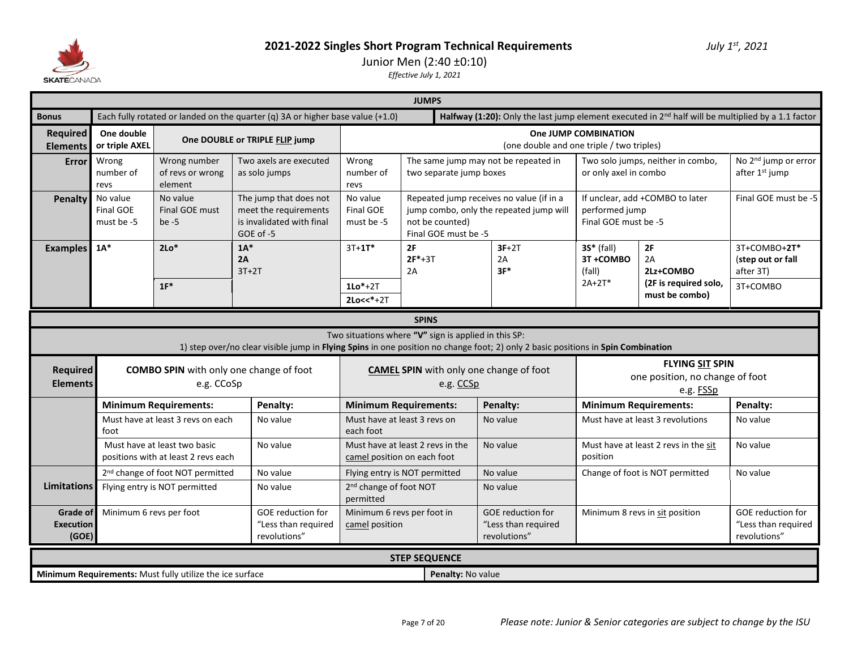

### Junior Men (2:40 ±0:10)

|                                    | <b>JUMPS</b>                                                                                                                                                                        |                                                                                              |                                                                                                                                  |                                     |                                                                 |                                                                                                         |                                                                        |                                      |                                                                |  |  |  |
|------------------------------------|-------------------------------------------------------------------------------------------------------------------------------------------------------------------------------------|----------------------------------------------------------------------------------------------|----------------------------------------------------------------------------------------------------------------------------------|-------------------------------------|-----------------------------------------------------------------|---------------------------------------------------------------------------------------------------------|------------------------------------------------------------------------|--------------------------------------|----------------------------------------------------------------|--|--|--|
| <b>Bonus</b>                       |                                                                                                                                                                                     |                                                                                              | Each fully rotated or landed on the quarter (q) 3A or higher base value (+1.0)                                                   |                                     |                                                                 | Halfway (1:20): Only the last jump element executed in $2^{nd}$ half will be multiplied by a 1.1 factor |                                                                        |                                      |                                                                |  |  |  |
| Required<br><b>Elements</b>        | One double<br>or triple AXEL                                                                                                                                                        |                                                                                              | One DOUBLE or TRIPLE FLIP jump                                                                                                   |                                     |                                                                 | (one double and one triple / two triples)                                                               | One JUMP COMBINATION                                                   |                                      |                                                                |  |  |  |
| Error                              | Wrong<br>number of<br>revs                                                                                                                                                          | Wrong number<br>of revs or wrong<br>element                                                  | Two axels are executed<br>as solo jumps                                                                                          | Wrong<br>number of<br>revs          | two separate jump boxes                                         | The same jump may not be repeated in                                                                    | or only axel in combo                                                  | Two solo jumps, neither in combo,    | No 2 <sup>nd</sup> jump or error<br>after 1 <sup>st</sup> jump |  |  |  |
| <b>Penalty</b>                     | No value<br><b>Final GOE</b><br>must be -5                                                                                                                                          | No value<br>Final GOE must<br>$be -5$                                                        | The jump that does not<br>meet the requirements<br>is invalidated with final<br>GOE of -5                                        | No value<br>Final GOE<br>must be -5 | not be counted)<br>Final GOE must be -5                         | Repeated jump receives no value (if in a<br>jump combo, only the repeated jump will                     | performed jump<br>Final GOE must be -5                                 | If unclear, add +COMBO to later      | Final GOE must be -5                                           |  |  |  |
| <b>Examples</b>                    | $1A^*$                                                                                                                                                                              | $2Lo*$                                                                                       | $1A*$<br>2A<br>$3T+2T$                                                                                                           | $3T+1T^*$                           | 2F<br>$2F*+3T$<br>2A                                            | $3F+2T$<br>2A<br>$3F*$                                                                                  | $35*$ (fall)<br>3T+COMBO<br>(fall)                                     | 2F<br>2A<br>2Lz+COMBO                | 3T+COMBO+2T*<br>(step out or fall<br>after 3T)                 |  |  |  |
|                                    |                                                                                                                                                                                     | $1F^*$                                                                                       |                                                                                                                                  | $1Lo*+2T$<br>$2Lo<<*+2T$            |                                                                 |                                                                                                         | (2F is required solo,<br>must be combo)                                | 3T+COMBO                             |                                                                |  |  |  |
|                                    | <b>SPINS</b>                                                                                                                                                                        |                                                                                              |                                                                                                                                  |                                     |                                                                 |                                                                                                         |                                                                        |                                      |                                                                |  |  |  |
|                                    |                                                                                                                                                                                     |                                                                                              | 1) step over/no clear visible jump in Flying Spins in one position no change foot; 2) only 2 basic positions in Spin Combination |                                     | Two situations where "V" sign is applied in this SP:            |                                                                                                         |                                                                        |                                      |                                                                |  |  |  |
| <b>Required</b><br><b>Elements</b> |                                                                                                                                                                                     | e.g. CCoSp                                                                                   | <b>COMBO SPIN</b> with only one change of foot                                                                                   |                                     | <b>CAMEL SPIN</b> with only one change of foot<br>e.g. CCSp     |                                                                                                         | <b>FLYING SIT SPIN</b><br>one position, no change of foot<br>e.g. FSSp |                                      |                                                                |  |  |  |
|                                    |                                                                                                                                                                                     | <b>Minimum Requirements:</b>                                                                 | Penalty:                                                                                                                         |                                     | <b>Minimum Requirements:</b>                                    | Penalty:                                                                                                |                                                                        | <b>Minimum Requirements:</b>         | Penalty:                                                       |  |  |  |
|                                    | foot                                                                                                                                                                                | Must have at least 3 revs on each                                                            | No value                                                                                                                         | each foot                           | Must have at least 3 revs on                                    | No value                                                                                                |                                                                        | Must have at least 3 revolutions     | No value                                                       |  |  |  |
|                                    |                                                                                                                                                                                     | Must have at least two basic<br>positions with at least 2 revs each                          | No value                                                                                                                         |                                     | Must have at least 2 revs in the<br>camel position on each foot | No value                                                                                                | position                                                               | Must have at least 2 revs in the sit | No value                                                       |  |  |  |
|                                    |                                                                                                                                                                                     | 2 <sup>nd</sup> change of foot NOT permitted                                                 | No value                                                                                                                         |                                     | Flying entry is NOT permitted                                   | No value                                                                                                |                                                                        | Change of foot is NOT permitted      | No value                                                       |  |  |  |
| <b>Limitations</b>                 |                                                                                                                                                                                     | 2 <sup>nd</sup> change of foot NOT<br>Flying entry is NOT permitted<br>No value<br>permitted |                                                                                                                                  |                                     |                                                                 | No value                                                                                                |                                                                        |                                      |                                                                |  |  |  |
|                                    | Minimum 6 revs per foot in<br><b>Grade of</b><br>Minimum 6 revs per foot<br>GOE reduction for<br>"Less than required<br><b>Execution</b><br>camel position<br>revolutions"<br>(GOE) |                                                                                              |                                                                                                                                  |                                     |                                                                 | GOE reduction for<br>"Less than required<br>revolutions"                                                |                                                                        | Minimum 8 revs in sit position       | GOE reduction for<br>"Less than required<br>revolutions"       |  |  |  |
|                                    |                                                                                                                                                                                     |                                                                                              |                                                                                                                                  |                                     | <b>STEP SEQUENCE</b>                                            |                                                                                                         |                                                                        |                                      |                                                                |  |  |  |
|                                    |                                                                                                                                                                                     | Minimum Requirements: Must fully utilize the ice surface                                     |                                                                                                                                  |                                     | Penalty: No value                                               |                                                                                                         |                                                                        |                                      |                                                                |  |  |  |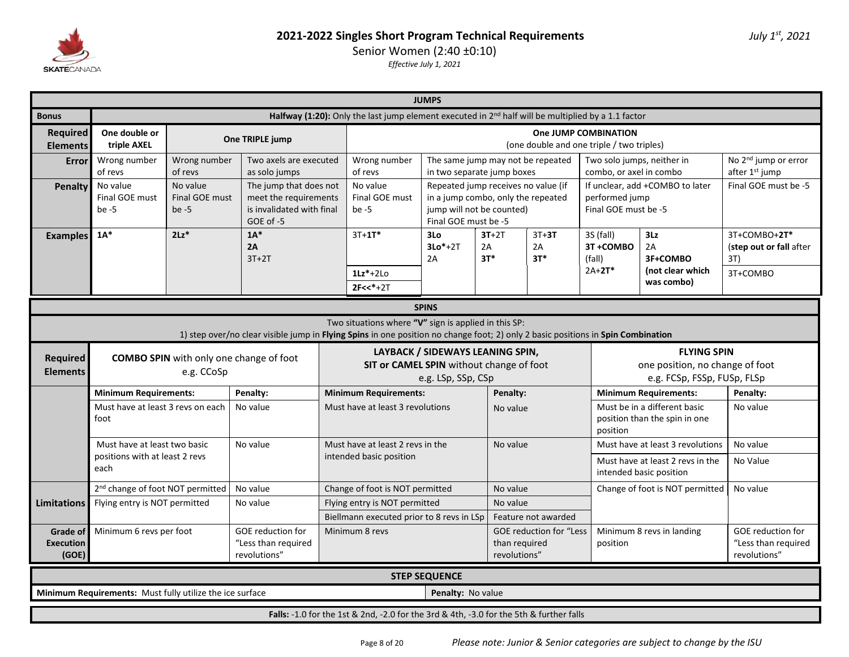

|                                              |                                                                                                                                                                                                                                                                                                                                                                 |                                                                                                      |                                                                                                                                  |  |                                                                                         | <b>JUMPS</b>                                                                                                                   |                        |                                   |                                                                   |                                                                                      |                                                    |  |  |  |
|----------------------------------------------|-----------------------------------------------------------------------------------------------------------------------------------------------------------------------------------------------------------------------------------------------------------------------------------------------------------------------------------------------------------------|------------------------------------------------------------------------------------------------------|----------------------------------------------------------------------------------------------------------------------------------|--|-----------------------------------------------------------------------------------------|--------------------------------------------------------------------------------------------------------------------------------|------------------------|-----------------------------------|-------------------------------------------------------------------|--------------------------------------------------------------------------------------|----------------------------------------------------|--|--|--|
| <b>Bonus</b>                                 |                                                                                                                                                                                                                                                                                                                                                                 | Halfway (1:20): Only the last jump element executed in $2nd$ half will be multiplied by a 1.1 factor |                                                                                                                                  |  |                                                                                         |                                                                                                                                |                        |                                   |                                                                   |                                                                                      |                                                    |  |  |  |
| <b>Required</b><br><b>Elements</b>           | One double or<br>triple AXEL                                                                                                                                                                                                                                                                                                                                    |                                                                                                      | One TRIPLE jump                                                                                                                  |  |                                                                                         |                                                                                                                                |                        |                                   | One JUMP COMBINATION<br>(one double and one triple / two triples) |                                                                                      |                                                    |  |  |  |
| <b>Error</b>                                 | Wrong number<br>of revs                                                                                                                                                                                                                                                                                                                                         | Wrong number<br>of revs                                                                              | Two axels are executed<br>as solo jumps                                                                                          |  | Wrong number<br>of revs                                                                 | in two separate jump boxes                                                                                                     |                        | The same jump may not be repeated | Two solo jumps, neither in<br>combo, or axel in combo             |                                                                                      | No 2 <sup>nd</sup> jump or error<br>after 1st jump |  |  |  |
| Penalty                                      | No value<br>Final GOE must<br>be $-5$                                                                                                                                                                                                                                                                                                                           | No value<br>Final GOE must<br>be $-5$                                                                | The jump that does not<br>meet the requirements<br>is invalidated with final<br>$GOE$ of $-5$                                    |  | No value<br>Final GOE must<br>be -5                                                     | Repeated jump receives no value (if<br>in a jump combo, only the repeated<br>jump will not be counted)<br>Final GOE must be -5 |                        |                                   | performed jump<br>Final GOE must be -5                            | If unclear, add +COMBO to later                                                      | Final GOE must be -5                               |  |  |  |
| <b>Examples</b>                              | $1A^*$                                                                                                                                                                                                                                                                                                                                                          | $2Lz$ <sup>*</sup>                                                                                   | $1A*$<br>2A<br>$3T+2T$                                                                                                           |  | $3T+1T*$                                                                                | 3Lo<br>$3Lo*+2T$<br>2A                                                                                                         | $3T+2T$<br>2A<br>$3T*$ | 3S (fall)<br>3T+COMBO<br>(fall)   | 3Lz<br>2A<br>3F+COMBO                                             | 3T+COMBO+2T*<br>(step out or fall after<br>3T)                                       |                                                    |  |  |  |
|                                              | $2A+2T^*$<br>(not clear which<br>$1Lz^*+2L0$<br>3T+COMBO<br>was combo)<br>$2F << * + 2T$                                                                                                                                                                                                                                                                        |                                                                                                      |                                                                                                                                  |  |                                                                                         |                                                                                                                                |                        |                                   |                                                                   |                                                                                      |                                                    |  |  |  |
|                                              | <b>SPINS</b>                                                                                                                                                                                                                                                                                                                                                    |                                                                                                      |                                                                                                                                  |  |                                                                                         |                                                                                                                                |                        |                                   |                                                                   |                                                                                      |                                                    |  |  |  |
|                                              |                                                                                                                                                                                                                                                                                                                                                                 |                                                                                                      | 1) step over/no clear visible jump in Flying Spins in one position no change foot; 2) only 2 basic positions in Spin Combination |  | Two situations where "V" sign is applied in this SP:                                    |                                                                                                                                |                        |                                   |                                                                   |                                                                                      |                                                    |  |  |  |
| <b>Required</b><br><b>Elements</b>           |                                                                                                                                                                                                                                                                                                                                                                 | e.g. CCoSp                                                                                           | <b>COMBO SPIN</b> with only one change of foot                                                                                   |  | SIT or CAMEL SPIN without change of foot                                                | LAYBACK / SIDEWAYS LEANING SPIN,<br>e.g. LSp, SSp, CSp                                                                         |                        |                                   |                                                                   | <b>FLYING SPIN</b><br>one position, no change of foot<br>e.g. FCSp, FSSp, FUSp, FLSp |                                                    |  |  |  |
|                                              | <b>Minimum Requirements:</b>                                                                                                                                                                                                                                                                                                                                    |                                                                                                      | Penalty:                                                                                                                         |  | <b>Minimum Requirements:</b>                                                            |                                                                                                                                | Penalty:               |                                   |                                                                   | <b>Minimum Requirements:</b>                                                         | Penalty:                                           |  |  |  |
|                                              | Must have at least 3 revs on each<br>foot                                                                                                                                                                                                                                                                                                                       |                                                                                                      | No value                                                                                                                         |  | Must have at least 3 revolutions                                                        |                                                                                                                                | No value               |                                   | position                                                          | Must be in a different basic<br>position than the spin in one                        | No value                                           |  |  |  |
|                                              | Must have at least two basic                                                                                                                                                                                                                                                                                                                                    |                                                                                                      | No value                                                                                                                         |  | Must have at least 2 revs in the                                                        |                                                                                                                                | No value               |                                   |                                                                   | Must have at least 3 revolutions                                                     | No value                                           |  |  |  |
|                                              | positions with at least 2 revs<br>each                                                                                                                                                                                                                                                                                                                          |                                                                                                      |                                                                                                                                  |  | intended basic position                                                                 |                                                                                                                                |                        |                                   |                                                                   | Must have at least 2 revs in the<br>intended basic position                          | No Value                                           |  |  |  |
|                                              | 2 <sup>nd</sup> change of foot NOT permitted                                                                                                                                                                                                                                                                                                                    |                                                                                                      | No value                                                                                                                         |  | Change of foot is NOT permitted                                                         |                                                                                                                                | No value               |                                   |                                                                   | Change of foot is NOT permitted                                                      | No value                                           |  |  |  |
| <b>Limitations</b>                           | Flying entry is NOT permitted                                                                                                                                                                                                                                                                                                                                   |                                                                                                      | No value                                                                                                                         |  | Flying entry is NOT permitted                                                           |                                                                                                                                | No value               |                                   |                                                                   |                                                                                      |                                                    |  |  |  |
| <b>Grade of</b><br><b>Execution</b><br>(GOE) | Biellmann executed prior to 8 revs in LSp<br>Feature not awarded<br>Minimum 6 revs per foot<br><b>GOE</b> reduction for<br><b>GOE</b> reduction for<br>Minimum 8 revs<br><b>GOE reduction for "Less</b><br>Minimum 8 revs in landing<br>"Less than required<br>"Less than required<br>than required<br>position<br>revolutions"<br>revolutions"<br>revolutions" |                                                                                                      |                                                                                                                                  |  |                                                                                         |                                                                                                                                |                        |                                   |                                                                   |                                                                                      |                                                    |  |  |  |
|                                              |                                                                                                                                                                                                                                                                                                                                                                 |                                                                                                      |                                                                                                                                  |  |                                                                                         | <b>STEP SEQUENCE</b>                                                                                                           |                        |                                   |                                                                   |                                                                                      |                                                    |  |  |  |
|                                              | Minimum Requirements: Must fully utilize the ice surface                                                                                                                                                                                                                                                                                                        |                                                                                                      |                                                                                                                                  |  |                                                                                         | Penalty: No value                                                                                                              |                        |                                   |                                                                   |                                                                                      |                                                    |  |  |  |
|                                              |                                                                                                                                                                                                                                                                                                                                                                 |                                                                                                      |                                                                                                                                  |  | Falls: -1.0 for the 1st & 2nd, -2.0 for the 3rd & 4th, -3.0 for the 5th & further falls |                                                                                                                                |                        |                                   |                                                                   |                                                                                      |                                                    |  |  |  |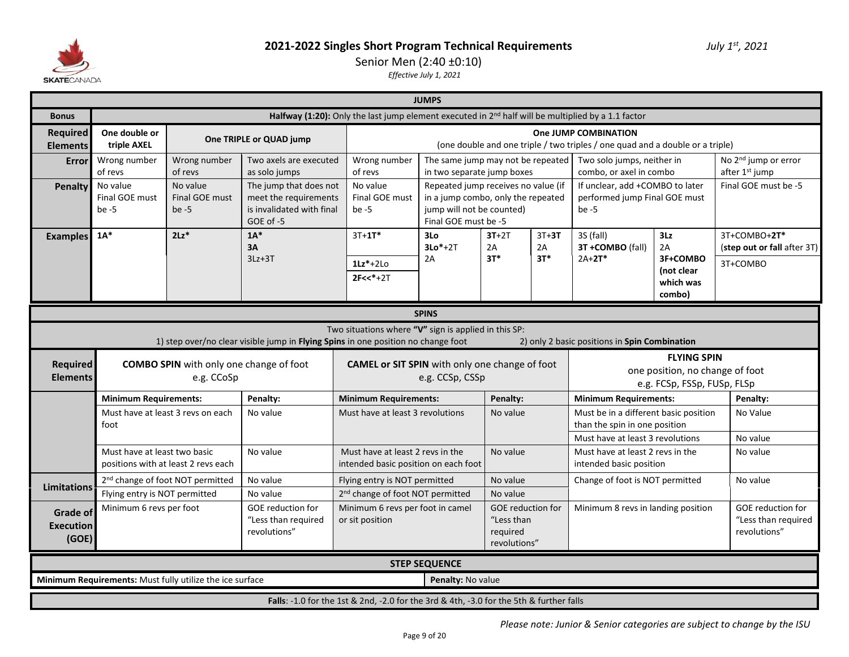

### Senior Men (2:40 ±0:10)

|                                              |                                                                                                                                              |                                                                                                                                                                                                                                        |                                                                                           |                                                                          | <b>JUMPS</b>                                                                                                                   |                                                                    |               |                                                                               |                                                                                      |                                                                 |  |  |  |  |
|----------------------------------------------|----------------------------------------------------------------------------------------------------------------------------------------------|----------------------------------------------------------------------------------------------------------------------------------------------------------------------------------------------------------------------------------------|-------------------------------------------------------------------------------------------|--------------------------------------------------------------------------|--------------------------------------------------------------------------------------------------------------------------------|--------------------------------------------------------------------|---------------|-------------------------------------------------------------------------------|--------------------------------------------------------------------------------------|-----------------------------------------------------------------|--|--|--|--|
| <b>Bonus</b>                                 |                                                                                                                                              | Halfway (1:20): Only the last jump element executed in 2 <sup>nd</sup> half will be multiplied by a 1.1 factor<br>One JUMP COMBINATION                                                                                                 |                                                                                           |                                                                          |                                                                                                                                |                                                                    |               |                                                                               |                                                                                      |                                                                 |  |  |  |  |
| <b>Required</b><br><b>Elements</b>           | One double or<br>triple AXEL                                                                                                                 |                                                                                                                                                                                                                                        | One TRIPLE or QUAD jump                                                                   |                                                                          |                                                                                                                                |                                                                    |               | (one double and one triple / two triples / one quad and a double or a triple) |                                                                                      |                                                                 |  |  |  |  |
| Error                                        | Wrong number<br>of revs                                                                                                                      | Wrong number<br>of revs                                                                                                                                                                                                                | Two axels are executed<br>as solo jumps                                                   | Wrong number<br>of revs                                                  | The same jump may not be repeated<br>in two separate jump boxes                                                                |                                                                    |               | Two solo jumps, neither in<br>combo, or axel in combo                         |                                                                                      | No 2 <sup>nd</sup> jump or error<br>after 1st jump              |  |  |  |  |
| <b>Penalty</b>                               | No value<br>Final GOE must<br>be $-5$                                                                                                        | No value<br>Final GOE must<br>be $-5$                                                                                                                                                                                                  | The jump that does not<br>meet the requirements<br>is invalidated with final<br>GOE of -5 | No value<br>Final GOE must<br>be -5                                      | Repeated jump receives no value (if<br>in a jump combo, only the repeated<br>jump will not be counted)<br>Final GOE must be -5 |                                                                    |               | If unclear, add +COMBO to later<br>performed jump Final GOE must<br>be $-5$   |                                                                                      | Final GOE must be -5                                            |  |  |  |  |
| <b>Examples</b>                              | $1A*$                                                                                                                                        | $2Lz$ *                                                                                                                                                                                                                                | $1A^*$<br>3A                                                                              | $3T + 1T^*$                                                              | 3Lo<br>$3Lo*+2T$                                                                                                               | $3T+2T$<br>2A                                                      | $3T+3T$<br>2A | 3S (fall)<br>3T +COMBO (fall)                                                 | 3Lz<br>2A                                                                            | 3T+COMBO+2T*<br>(step out or fall after 3T)                     |  |  |  |  |
|                                              | $3T*$<br>$3T*$<br>$2A+2T*$<br>3F+COMBO<br>$3Lz + 3T$<br>2A<br>$1Lz^*+2L0$<br>3T+COMBO<br>(not clear<br>$2F << * + 2T$<br>which was<br>combo) |                                                                                                                                                                                                                                        |                                                                                           |                                                                          |                                                                                                                                |                                                                    |               |                                                                               |                                                                                      |                                                                 |  |  |  |  |
|                                              |                                                                                                                                              |                                                                                                                                                                                                                                        |                                                                                           |                                                                          | <b>SPINS</b>                                                                                                                   |                                                                    |               |                                                                               |                                                                                      |                                                                 |  |  |  |  |
|                                              |                                                                                                                                              |                                                                                                                                                                                                                                        | 1) step over/no clear visible jump in Flying Spins in one position no change foot         | Two situations where "V" sign is applied in this SP:                     |                                                                                                                                |                                                                    |               | 2) only 2 basic positions in Spin Combination                                 |                                                                                      |                                                                 |  |  |  |  |
| <b>Required</b><br><b>Elements</b>           |                                                                                                                                              | <b>COMBO SPIN</b> with only one change of foot<br>e.g. CCoSp                                                                                                                                                                           |                                                                                           | <b>CAMEL or SIT SPIN</b> with only one change of foot                    | e.g. CCSp, CSSp                                                                                                                |                                                                    |               |                                                                               | <b>FLYING SPIN</b><br>one position, no change of foot<br>e.g. FCSp, FSSp, FUSp, FLSp |                                                                 |  |  |  |  |
|                                              |                                                                                                                                              |                                                                                                                                                                                                                                        | Penalty:                                                                                  |                                                                          |                                                                                                                                |                                                                    |               |                                                                               |                                                                                      |                                                                 |  |  |  |  |
|                                              |                                                                                                                                              | <b>Minimum Requirements:</b><br><b>Minimum Requirements:</b><br><b>Minimum Requirements:</b><br>Penalty:<br>Penalty:<br>Must be in a different basic position<br>Must have at least 3 revs on each<br>Must have at least 3 revolutions |                                                                                           |                                                                          |                                                                                                                                |                                                                    |               |                                                                               |                                                                                      |                                                                 |  |  |  |  |
|                                              | foot<br>than the spin in one position                                                                                                        |                                                                                                                                                                                                                                        |                                                                                           |                                                                          |                                                                                                                                |                                                                    |               |                                                                               |                                                                                      |                                                                 |  |  |  |  |
|                                              |                                                                                                                                              |                                                                                                                                                                                                                                        | No value                                                                                  |                                                                          |                                                                                                                                | No value                                                           |               | Must have at least 3 revolutions                                              |                                                                                      | No Value<br>No value                                            |  |  |  |  |
|                                              | Must have at least two basic                                                                                                                 | positions with at least 2 revs each                                                                                                                                                                                                    | No value                                                                                  | Must have at least 2 revs in the<br>intended basic position on each foot |                                                                                                                                | No value                                                           |               | Must have at least 2 revs in the<br>intended basic position                   |                                                                                      | No value                                                        |  |  |  |  |
|                                              |                                                                                                                                              | 2 <sup>nd</sup> change of foot NOT permitted                                                                                                                                                                                           | No value                                                                                  | Flying entry is NOT permitted                                            |                                                                                                                                | No value                                                           |               | Change of foot is NOT permitted                                               |                                                                                      | No value                                                        |  |  |  |  |
| <b>Limitations</b>                           | Flying entry is NOT permitted                                                                                                                |                                                                                                                                                                                                                                        | No value                                                                                  | 2 <sup>nd</sup> change of foot NOT permitted                             |                                                                                                                                | No value                                                           |               |                                                                               |                                                                                      |                                                                 |  |  |  |  |
| <b>Grade of</b><br><b>Execution</b><br>(GOE) | Minimum 6 revs per foot                                                                                                                      |                                                                                                                                                                                                                                        | <b>GOE</b> reduction for<br>"Less than required<br>revolutions"                           | Minimum 6 revs per foot in camel<br>or sit position                      |                                                                                                                                | <b>GOE</b> reduction for<br>"Less than<br>required<br>revolutions" |               | Minimum 8 revs in landing position                                            |                                                                                      | <b>GOE</b> reduction for<br>"Less than required<br>revolutions" |  |  |  |  |
|                                              |                                                                                                                                              |                                                                                                                                                                                                                                        |                                                                                           |                                                                          | <b>STEP SEQUENCE</b>                                                                                                           |                                                                    |               |                                                                               |                                                                                      |                                                                 |  |  |  |  |
|                                              |                                                                                                                                              | Minimum Requirements: Must fully utilize the ice surface                                                                                                                                                                               |                                                                                           |                                                                          | Penalty: No value                                                                                                              |                                                                    |               |                                                                               |                                                                                      |                                                                 |  |  |  |  |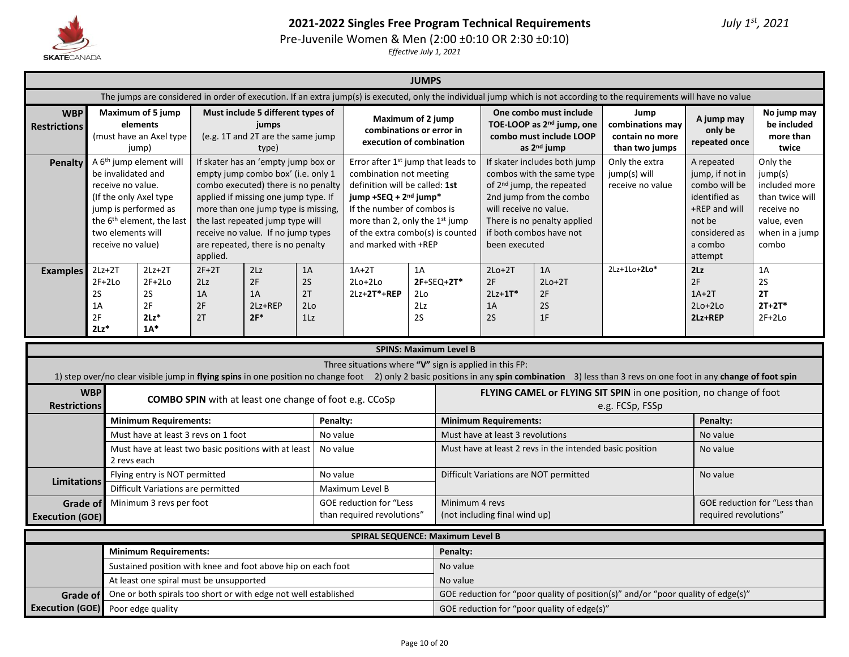

**Grade of Execution (GOE)**

### **2021-2022 Singles Free Program Technical Requirements** *July 1st, 2021*

Pre-Juvenile Women & Men (2:00 ±0:10 OR 2:30 ±0:10)

*Effective July 1, 2021*

|                                   |                                                                                                                                                                                                                                                                                                                                                                                                                                                                                                                                                                                                                                                                                                                                                                                                                                    |                                                                     |  |                                                                                          |          |                                                                           | <b>JUMPS</b>           |                                         |                                                                                                                                                                                         |                                                                                                                       |                                                                                                                                                                                                |                                                                                                                 |                                                  |
|-----------------------------------|------------------------------------------------------------------------------------------------------------------------------------------------------------------------------------------------------------------------------------------------------------------------------------------------------------------------------------------------------------------------------------------------------------------------------------------------------------------------------------------------------------------------------------------------------------------------------------------------------------------------------------------------------------------------------------------------------------------------------------------------------------------------------------------------------------------------------------|---------------------------------------------------------------------|--|------------------------------------------------------------------------------------------|----------|---------------------------------------------------------------------------|------------------------|-----------------------------------------|-----------------------------------------------------------------------------------------------------------------------------------------------------------------------------------------|-----------------------------------------------------------------------------------------------------------------------|------------------------------------------------------------------------------------------------------------------------------------------------------------------------------------------------|-----------------------------------------------------------------------------------------------------------------|--------------------------------------------------|
|                                   |                                                                                                                                                                                                                                                                                                                                                                                                                                                                                                                                                                                                                                                                                                                                                                                                                                    |                                                                     |  |                                                                                          |          |                                                                           |                        |                                         |                                                                                                                                                                                         |                                                                                                                       | The jumps are considered in order of execution. If an extra jump(s) is executed, only the individual jump which is not according to the requirements will have no value                        |                                                                                                                 |                                                  |
| <b>WBP</b><br><b>Restrictions</b> |                                                                                                                                                                                                                                                                                                                                                                                                                                                                                                                                                                                                                                                                                                                                                                                                                                    | Maximum of 5 jump<br>elements<br>(must have an Axel type<br>jump)   |  | Must include 5 different types of<br>jumps<br>(e.g. 1T and 2T are the same jump<br>type) |          | Maximum of 2 jump<br>combinations or error in<br>execution of combination |                        |                                         |                                                                                                                                                                                         | One combo must include<br>TOE-LOOP as 2 <sup>nd</sup> jump, one<br>combo must include LOOP<br>as 2 <sup>nd</sup> jump | Jump<br>combinations may<br>contain no more<br>than two jumps                                                                                                                                  | A jump may<br>only be<br>repeated once                                                                          | No jump may<br>be included<br>more than<br>twice |
| Penalty                           | A 6 <sup>th</sup> jump element will<br>If skater has an 'empty jump box or<br>Error after 1 <sup>st</sup> jump that leads to<br>be invalidated and<br>empty jump combo box' (i.e. only 1<br>combination not meeting<br>combo executed) there is no penalty<br>definition will be called: 1st<br>receive no value.<br>applied if missing one jump type. If<br>jump +SEQ + 2 <sup>nd</sup> jump*<br>(If the only Axel type)<br>jump is performed as<br>more than one jump type is missing,<br>If the number of combos is<br>the 6 <sup>th</sup> element, the last<br>the last repeated jump type will<br>more than 2, only the 1st jump<br>two elements will<br>receive no value. If no jump types<br>of the extra combo(s) is counted<br>are repeated, there is no penalty<br>and marked with +REP<br>receive no value)<br>applied. |                                                                     |  |                                                                                          |          |                                                                           |                        | will receive no value.<br>been executed | If skater includes both jump<br>combos with the same type<br>of 2 <sup>nd</sup> jump, the repeated<br>2nd jump from the combo<br>There is no penalty applied<br>if both combos have not | Only the extra<br>jump(s) will<br>receive no value                                                                    | A repeated<br>jump, if not in<br>combo will be<br>identified as<br>+REP and will<br>not be<br>considered as<br>a combo<br>attempt                                                              | Only the<br>jump(s)<br>included more<br>than twice will<br>receive no<br>value, even<br>when in a jump<br>combo |                                                  |
| <b>Examples</b>                   | 2Lz<br>$2Lz+2T$<br>$2F+2T$<br>$1A+2T$<br>$2Lz+2T$<br>1A<br>2F<br>$2F+2Lo$<br>$2F+2Lo$<br>2S<br>$2Lo+2Lo$<br>2 <sub>Lz</sub><br>2S<br>2S<br>1A<br>2T<br>1A<br>$2Lz+2T*+REP$<br>2F<br>2F<br>1A<br>2Lz+REP<br>2Lo<br>$2F*$<br>2F<br>$2Lz$ *<br>2T<br>1 <sub>Lz</sub><br>$2Lz$ <sup>*</sup><br>$1A^*$                                                                                                                                                                                                                                                                                                                                                                                                                                                                                                                                  |                                                                     |  |                                                                                          |          |                                                                           | 1A<br>2Lo<br>2Lz<br>2S | $2F+SEQ+2T*$                            | $2Lo+2T$<br>2F<br>$2Lz+1T*$<br>1A<br>2S                                                                                                                                                 | 1A<br>$2Lo+2T$<br>2F<br>2S<br>1F                                                                                      | $2Lz+1Lo+2Lo*$                                                                                                                                                                                 | 2Lz<br>2F<br>$1A+2T$<br>$2Lo+2Lo$<br>2Lz+REP                                                                    | 1A<br>2S<br>2T<br>$2T+2T*$<br>$2F+2Lo$           |
|                                   |                                                                                                                                                                                                                                                                                                                                                                                                                                                                                                                                                                                                                                                                                                                                                                                                                                    |                                                                     |  |                                                                                          |          |                                                                           |                        | <b>SPINS: Maximum Level B</b>           |                                                                                                                                                                                         |                                                                                                                       |                                                                                                                                                                                                |                                                                                                                 |                                                  |
|                                   |                                                                                                                                                                                                                                                                                                                                                                                                                                                                                                                                                                                                                                                                                                                                                                                                                                    |                                                                     |  |                                                                                          |          | Three situations where "V" sign is applied in this FP:                    |                        |                                         |                                                                                                                                                                                         |                                                                                                                       | 1) step over/no clear visible jump in flying spins in one position no change foot 2) only 2 basic positions in any spin combination 3) less than 3 revs on one foot in any change of foot spin |                                                                                                                 |                                                  |
| <b>Restrictions</b>               | <b>WBP</b>                                                                                                                                                                                                                                                                                                                                                                                                                                                                                                                                                                                                                                                                                                                                                                                                                         |                                                                     |  |                                                                                          |          | <b>COMBO SPIN</b> with at least one change of foot e.g. CCoSp             |                        |                                         |                                                                                                                                                                                         |                                                                                                                       | FLYING CAMEL or FLYING SIT SPIN in one position, no change of foot<br>e.g. FCSp, FSSp                                                                                                          |                                                                                                                 |                                                  |
|                                   |                                                                                                                                                                                                                                                                                                                                                                                                                                                                                                                                                                                                                                                                                                                                                                                                                                    | <b>Minimum Requirements:</b>                                        |  |                                                                                          | Penalty: |                                                                           |                        |                                         | <b>Minimum Requirements:</b>                                                                                                                                                            |                                                                                                                       |                                                                                                                                                                                                | Penalty:                                                                                                        |                                                  |
|                                   |                                                                                                                                                                                                                                                                                                                                                                                                                                                                                                                                                                                                                                                                                                                                                                                                                                    | Must have at least 3 revs on 1 foot                                 |  |                                                                                          | No value |                                                                           |                        |                                         | Must have at least 3 revolutions                                                                                                                                                        |                                                                                                                       |                                                                                                                                                                                                | No value                                                                                                        |                                                  |
|                                   |                                                                                                                                                                                                                                                                                                                                                                                                                                                                                                                                                                                                                                                                                                                                                                                                                                    | Must have at least two basic positions with at least<br>2 revs each |  |                                                                                          | No value |                                                                           |                        |                                         |                                                                                                                                                                                         | Must have at least 2 revs in the intended basic position                                                              |                                                                                                                                                                                                | No value                                                                                                        |                                                  |
|                                   | Flying entry is NOT permitted<br>No value<br><b>Limitations</b><br>Difficult Variations are permitted<br>Maximum Level B                                                                                                                                                                                                                                                                                                                                                                                                                                                                                                                                                                                                                                                                                                           |                                                                     |  |                                                                                          |          |                                                                           |                        |                                         |                                                                                                                                                                                         | Difficult Variations are NOT permitted                                                                                |                                                                                                                                                                                                | No value                                                                                                        |                                                  |
|                                   | Minimum 3 revs per foot<br>GOE reduction for "Less<br>Grade of<br>than required revolutions"<br><b>Execution (GOE)</b>                                                                                                                                                                                                                                                                                                                                                                                                                                                                                                                                                                                                                                                                                                             |                                                                     |  |                                                                                          |          |                                                                           |                        | Minimum 4 revs                          | (not including final wind up)                                                                                                                                                           |                                                                                                                       |                                                                                                                                                                                                | required revolutions"                                                                                           | GOE reduction for "Less than                     |
|                                   |                                                                                                                                                                                                                                                                                                                                                                                                                                                                                                                                                                                                                                                                                                                                                                                                                                    |                                                                     |  |                                                                                          |          | SPIRAL SEQUENCE: Maximum Level B                                          |                        |                                         |                                                                                                                                                                                         |                                                                                                                       |                                                                                                                                                                                                |                                                                                                                 |                                                  |
|                                   |                                                                                                                                                                                                                                                                                                                                                                                                                                                                                                                                                                                                                                                                                                                                                                                                                                    | <b>Minimum Requirements:</b>                                        |  |                                                                                          |          |                                                                           |                        | Penalty:                                |                                                                                                                                                                                         |                                                                                                                       |                                                                                                                                                                                                |                                                                                                                 |                                                  |
|                                   |                                                                                                                                                                                                                                                                                                                                                                                                                                                                                                                                                                                                                                                                                                                                                                                                                                    | Sustained position with knee and foot above hip on each foot        |  |                                                                                          |          |                                                                           |                        | No value                                |                                                                                                                                                                                         |                                                                                                                       |                                                                                                                                                                                                |                                                                                                                 |                                                  |

One or both spirals too short or with edge not well established GOE reduction for "poor quality of position(s)" and/or "poor quality of edge(s)"

At least one spiral must be unsupported and No value

Poor edge quality **Poor edge quality**  $\overline{S}$  correduction for "poor quality of edge(s)"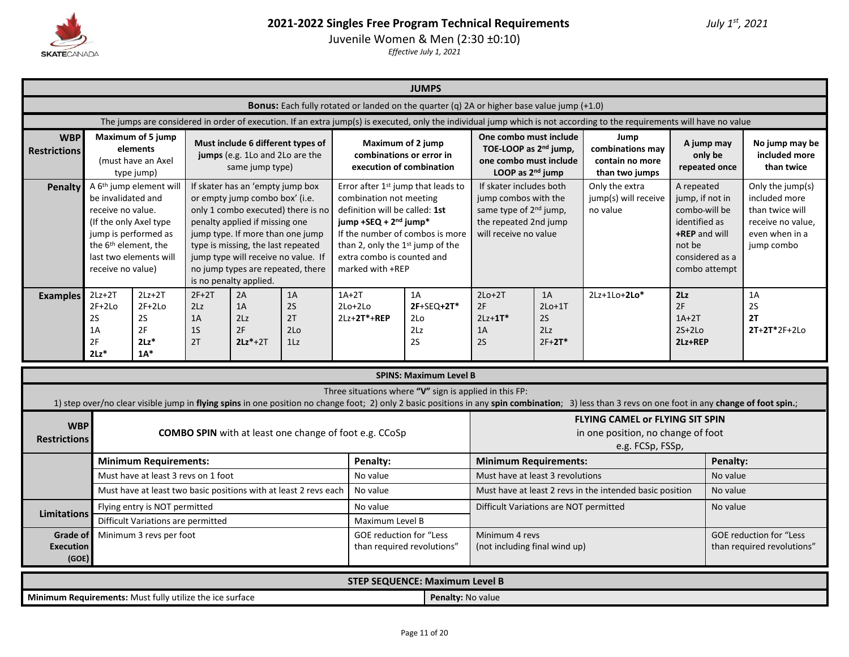

Juvenile Women & Men (2:30 ±0:10)

|                                                          | <b>JUMPS</b><br><b>Bonus:</b> Each fully rotated or landed on the quarter (q) 2A or higher base value jump (+1.0)                                                                                                                                                                                |                                                                   |                                              |                                                                                                                                                                                                                                                                                                                            |                                                                  |                                                                                                                                                                                      |                                                                                   |                                                                                                                                         |                                         |                                                                                                                                                                                                                                                                                                        |                                                                                                                                |                                        |                                                                                                           |  |
|----------------------------------------------------------|--------------------------------------------------------------------------------------------------------------------------------------------------------------------------------------------------------------------------------------------------------------------------------------------------|-------------------------------------------------------------------|----------------------------------------------|----------------------------------------------------------------------------------------------------------------------------------------------------------------------------------------------------------------------------------------------------------------------------------------------------------------------------|------------------------------------------------------------------|--------------------------------------------------------------------------------------------------------------------------------------------------------------------------------------|-----------------------------------------------------------------------------------|-----------------------------------------------------------------------------------------------------------------------------------------|-----------------------------------------|--------------------------------------------------------------------------------------------------------------------------------------------------------------------------------------------------------------------------------------------------------------------------------------------------------|--------------------------------------------------------------------------------------------------------------------------------|----------------------------------------|-----------------------------------------------------------------------------------------------------------|--|
|                                                          |                                                                                                                                                                                                                                                                                                  |                                                                   |                                              |                                                                                                                                                                                                                                                                                                                            |                                                                  |                                                                                                                                                                                      |                                                                                   |                                                                                                                                         |                                         |                                                                                                                                                                                                                                                                                                        |                                                                                                                                |                                        |                                                                                                           |  |
|                                                          |                                                                                                                                                                                                                                                                                                  |                                                                   |                                              |                                                                                                                                                                                                                                                                                                                            |                                                                  |                                                                                                                                                                                      |                                                                                   |                                                                                                                                         |                                         | The jumps are considered in order of execution. If an extra jump(s) is executed, only the individual jump which is not according to the requirements will have no value                                                                                                                                |                                                                                                                                |                                        |                                                                                                           |  |
| <b>WBP</b><br><b>Restrictions</b>                        |                                                                                                                                                                                                                                                                                                  | Maximum of 5 jump<br>elements<br>(must have an Axel<br>type jump) |                                              | Must include 6 different types of<br>jumps (e.g. 1Lo and 2Lo are the<br>same jump type)                                                                                                                                                                                                                                    |                                                                  |                                                                                                                                                                                      | Maximum of 2 jump<br>combinations or error in<br>execution of combination         | One combo must include<br>TOE-LOOP as 2 <sup>nd</sup> jump,<br>one combo must include<br>LOOP as 2 <sup>nd</sup> jump                   |                                         | Jump<br>combinations may<br>contain no more<br>than two jumps                                                                                                                                                                                                                                          |                                                                                                                                | A jump may<br>only be<br>repeated once | No jump may be<br>included more<br>than twice                                                             |  |
| <b>Penalty</b>                                           | be invalidated and<br>receive no value.<br>(If the only Axel type<br>jump is performed as<br>the 6 <sup>th</sup> element, the<br>receive no value)                                                                                                                                               | A 6 <sup>th</sup> jump element will<br>last two elements will     |                                              | If skater has an 'empty jump box<br>or empty jump combo box' (i.e.<br>only 1 combo executed) there is no<br>penalty applied if missing one<br>jump type. If more than one jump<br>type is missing, the last repeated<br>jump type will receive no value. If<br>no jump types are repeated, there<br>is no penalty applied. |                                                                  | combination not meeting<br>definition will be called: 1st<br>jump +SEQ + 2 <sup>nd</sup> jump*<br>than 2, only the 1st jump of the<br>extra combo is counted and<br>marked with +REP | Error after 1 <sup>st</sup> jump that leads to<br>If the number of combos is more | If skater includes both<br>jump combos with the<br>same type of 2 <sup>nd</sup> jump,<br>the repeated 2nd jump<br>will receive no value |                                         | Only the extra<br>jump(s) will receive<br>no value                                                                                                                                                                                                                                                     | A repeated<br>jump, if not in<br>combo-will be<br>identified as<br>+REP and will<br>not be<br>considered as a<br>combo attempt |                                        | Only the jump(s)<br>included more<br>than twice will<br>receive no value.<br>even when in a<br>jump combo |  |
| <b>Examples</b>                                          | $2Lz+2T$<br>$2F+2Lo$<br>2S<br>1A<br>2F<br>$2Lz$ *                                                                                                                                                                                                                                                | $2Lz+2T$<br>$2F+2Lo$<br>2S<br>2F<br>$2Lz$ *<br>$1A^*$             | $2F+2T$<br>2Lz<br>1A<br>1 <sub>S</sub><br>2T | 2A<br>1A<br>2Lz<br>2F<br>$2Lz*+2T$                                                                                                                                                                                                                                                                                         | 1A<br>2S<br>2T<br>2 <sub>0</sub><br>1 <sub>L</sub>               | $1A+2T$<br>$2Lo+2Lo$<br>$2Lz+2T*+REP$                                                                                                                                                | 1A<br>$2F+SEO+2T*$<br>2Lo<br>2Lz<br>2S                                            | $2Lo+2T$<br>2F<br>$2Lz+1T*$<br>1A<br>2S                                                                                                 | 1A<br>$2Lo+1T$<br>2S<br>2Lz<br>$2F+2T*$ | $2Lz+1Lo+2Lo*$                                                                                                                                                                                                                                                                                         | 2Lz<br>2F<br>$1A+2T$<br>$2S+2Lo$<br>2Lz+REP                                                                                    |                                        | 1A<br>2S<br>2T<br>$2T+2T*2F+2Lo$                                                                          |  |
|                                                          |                                                                                                                                                                                                                                                                                                  |                                                                   |                                              |                                                                                                                                                                                                                                                                                                                            |                                                                  |                                                                                                                                                                                      | <b>SPINS: Maximum Level B</b>                                                     |                                                                                                                                         |                                         |                                                                                                                                                                                                                                                                                                        |                                                                                                                                |                                        |                                                                                                           |  |
|                                                          |                                                                                                                                                                                                                                                                                                  |                                                                   |                                              |                                                                                                                                                                                                                                                                                                                            |                                                                  |                                                                                                                                                                                      | Three situations where "V" sign is applied in this FP:                            |                                                                                                                                         |                                         |                                                                                                                                                                                                                                                                                                        |                                                                                                                                |                                        |                                                                                                           |  |
| <b>WBP</b><br><b>Restrictions</b>                        |                                                                                                                                                                                                                                                                                                  |                                                                   |                                              |                                                                                                                                                                                                                                                                                                                            |                                                                  | <b>COMBO SPIN</b> with at least one change of foot e.g. CCoSp                                                                                                                        |                                                                                   |                                                                                                                                         |                                         | 1) step over/no clear visible jump in flying spins in one position no change foot; 2) only 2 basic positions in any spin combination; 3) less than 3 revs on one foot in any change of foot spin.;<br><b>FLYING CAMEL or FLYING SIT SPIN</b><br>in one position, no change of foot<br>e.g. FCSp, FSSp, |                                                                                                                                |                                        |                                                                                                           |  |
|                                                          |                                                                                                                                                                                                                                                                                                  | <b>Minimum Requirements:</b>                                      |                                              |                                                                                                                                                                                                                                                                                                                            |                                                                  | Penalty:                                                                                                                                                                             |                                                                                   | <b>Minimum Requirements:</b>                                                                                                            |                                         |                                                                                                                                                                                                                                                                                                        |                                                                                                                                | Penalty:                               |                                                                                                           |  |
|                                                          |                                                                                                                                                                                                                                                                                                  | Must have at least 3 revs on 1 foot                               |                                              |                                                                                                                                                                                                                                                                                                                            |                                                                  | No value                                                                                                                                                                             |                                                                                   | Must have at least 3 revolutions                                                                                                        |                                         |                                                                                                                                                                                                                                                                                                        |                                                                                                                                | No value                               |                                                                                                           |  |
|                                                          |                                                                                                                                                                                                                                                                                                  |                                                                   |                                              |                                                                                                                                                                                                                                                                                                                            | Must have at least two basic positions with at least 2 revs each | No value                                                                                                                                                                             |                                                                                   |                                                                                                                                         |                                         | Must have at least 2 revs in the intended basic position                                                                                                                                                                                                                                               |                                                                                                                                | No value                               |                                                                                                           |  |
| <b>Limitations</b>                                       |                                                                                                                                                                                                                                                                                                  | Flying entry is NOT permitted                                     |                                              |                                                                                                                                                                                                                                                                                                                            |                                                                  | No value<br>Maximum Level B                                                                                                                                                          |                                                                                   | Difficult Variations are NOT permitted                                                                                                  |                                         |                                                                                                                                                                                                                                                                                                        |                                                                                                                                | No value                               |                                                                                                           |  |
|                                                          | Difficult Variations are permitted<br>Minimum 3 revs per foot<br><b>GOE reduction for "Less</b><br><b>Grade of</b><br><b>GOE reduction for "Less</b><br>Minimum 4 revs<br>(not including final wind up)<br><b>Execution</b><br>than required revolutions"<br>than required revolutions"<br>(GOE) |                                                                   |                                              |                                                                                                                                                                                                                                                                                                                            |                                                                  |                                                                                                                                                                                      |                                                                                   |                                                                                                                                         |                                         |                                                                                                                                                                                                                                                                                                        |                                                                                                                                |                                        |                                                                                                           |  |
|                                                          |                                                                                                                                                                                                                                                                                                  |                                                                   |                                              |                                                                                                                                                                                                                                                                                                                            |                                                                  |                                                                                                                                                                                      | <b>STEP SEQUENCE: Maximum Level B</b>                                             |                                                                                                                                         |                                         |                                                                                                                                                                                                                                                                                                        |                                                                                                                                |                                        |                                                                                                           |  |
| Minimum Requirements: Must fully utilize the ice surface |                                                                                                                                                                                                                                                                                                  |                                                                   |                                              |                                                                                                                                                                                                                                                                                                                            |                                                                  |                                                                                                                                                                                      | Penalty: No value                                                                 |                                                                                                                                         |                                         |                                                                                                                                                                                                                                                                                                        |                                                                                                                                |                                        |                                                                                                           |  |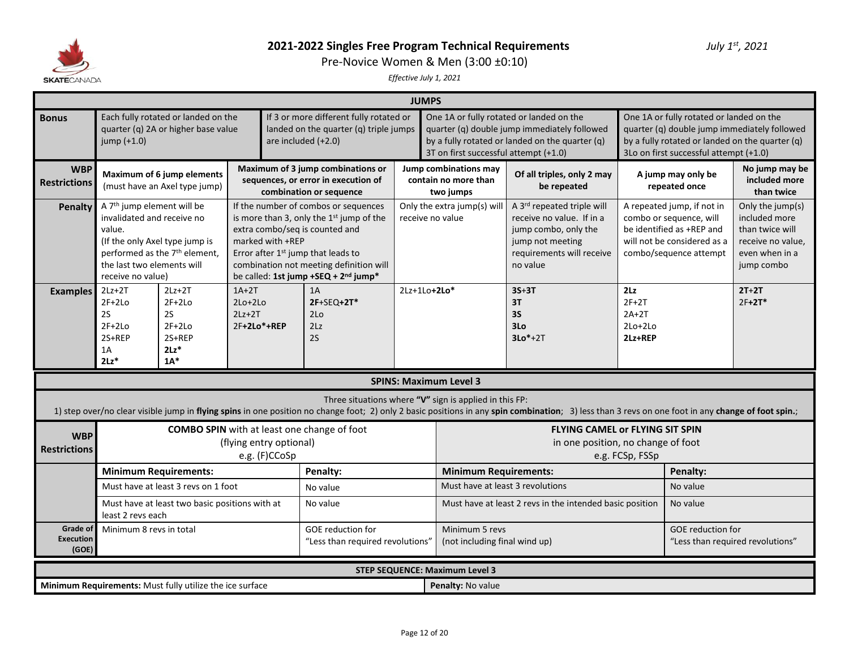

Pre-Novice Women & Men (3:00 ±0:10)

|                                              | <b>JUMPS</b>                                                                                                                      |                                                                             |                                                                                                      |                                                                                                                                                                                             |                  |                                                                                                                                                   |                                                                                                                                                                                                    |                                                                                                                                                                                       |                                                                                                                                             |                                                                                                           |  |  |  |
|----------------------------------------------|-----------------------------------------------------------------------------------------------------------------------------------|-----------------------------------------------------------------------------|------------------------------------------------------------------------------------------------------|---------------------------------------------------------------------------------------------------------------------------------------------------------------------------------------------|------------------|---------------------------------------------------------------------------------------------------------------------------------------------------|----------------------------------------------------------------------------------------------------------------------------------------------------------------------------------------------------|---------------------------------------------------------------------------------------------------------------------------------------------------------------------------------------|---------------------------------------------------------------------------------------------------------------------------------------------|-----------------------------------------------------------------------------------------------------------|--|--|--|
| <b>Bonus</b>                                 | jump $(+1.0)$                                                                                                                     | Each fully rotated or landed on the<br>quarter (q) 2A or higher base value  |                                                                                                      | If 3 or more different fully rotated or<br>landed on the quarter (q) triple jumps<br>are included $(+2.0)$                                                                                  |                  | 3T on first successful attempt (+1.0)                                                                                                             | One 1A or fully rotated or landed on the<br>quarter (q) double jump immediately followed<br>by a fully rotated or landed on the quarter (q)                                                        | One 1A or fully rotated or landed on the<br>quarter (q) double jump immediately followed<br>by a fully rotated or landed on the quarter (q)<br>3Lo on first successful attempt (+1.0) |                                                                                                                                             |                                                                                                           |  |  |  |
| <b>WBP</b><br><b>Restrictions</b>            |                                                                                                                                   | Maximum of 6 jump elements<br>(must have an Axel type jump)                 |                                                                                                      | Maximum of 3 jump combinations or<br>sequences, or error in execution of<br>combination or sequence                                                                                         |                  | Jump combinations may<br>contain no more than<br>two jumps                                                                                        | Of all triples, only 2 may<br>be repeated                                                                                                                                                          |                                                                                                                                                                                       | A jump may only be<br>repeated once                                                                                                         | No jump may be<br>included more<br>than twice                                                             |  |  |  |
| <b>Penalty</b>                               | A 7 <sup>th</sup> jump element will be<br>invalidated and receive no<br>value.<br>the last two elements will<br>receive no value) | (If the only Axel type jump is<br>performed as the 7 <sup>th</sup> element, | extra combo/seq is counted and<br>marked with +REP<br>Error after 1 <sup>st</sup> jump that leads to | If the number of combos or sequences<br>is more than 3, only the 1 <sup>st</sup> jump of the<br>combination not meeting definition will<br>be called: 1st jump +SEQ + 2 <sup>nd</sup> jump* | receive no value | Only the extra jump(s) will                                                                                                                       | A 3rd repeated triple will<br>receive no value. If in a<br>jump combo, only the<br>jump not meeting<br>requirements will receive<br>no value                                                       |                                                                                                                                                                                       | A repeated jump, if not in<br>combo or sequence, will<br>be identified as +REP and<br>will not be considered as a<br>combo/sequence attempt | Only the jump(s)<br>included more<br>than twice will<br>receive no value,<br>even when in a<br>jump combo |  |  |  |
| <b>Examples</b>                              | $2Lz+2T$<br>$2F+2Lo$<br>2S<br>$2F+2Lo$<br>2S+REP<br>1A<br>$2Lz*$                                                                  | $2Lz+2T$<br>$2F+2Lo$<br>2S<br>$2F+2Lo$<br>2S+REP<br>$2Lz*$<br>$1A*$         | $1A+2T$<br>$2Lo+2Lo$<br>$2Lz+2T$<br>2F+2Lo*+REP                                                      | 1A<br>2F+SEQ+2T*<br>2Lo<br>2Lz<br>2S                                                                                                                                                        |                  | $2Lz+1Lo+2Lo*$<br>$3S+3T$<br>2 <sub>Lz</sub><br>$2T+2T$<br>$2F+2T$<br>$2F+2T*$<br>3T<br>3S<br>$2A+2T$<br>$2Lo+2Lo$<br>3Lo<br>$3Lo*+2T$<br>2Lz+REP |                                                                                                                                                                                                    |                                                                                                                                                                                       |                                                                                                                                             |                                                                                                           |  |  |  |
|                                              |                                                                                                                                   |                                                                             |                                                                                                      |                                                                                                                                                                                             |                  | <b>SPINS: Maximum Level 3</b>                                                                                                                     |                                                                                                                                                                                                    |                                                                                                                                                                                       |                                                                                                                                             |                                                                                                           |  |  |  |
|                                              |                                                                                                                                   |                                                                             |                                                                                                      | Three situations where "V" sign is applied in this FP:                                                                                                                                      |                  |                                                                                                                                                   | 1) step over/no clear visible jump in flying spins in one position no change foot; 2) only 2 basic positions in any spin combination; 3) less than 3 revs on one foot in any change of foot spin.; |                                                                                                                                                                                       |                                                                                                                                             |                                                                                                           |  |  |  |
| <b>WBP</b><br><b>Restrictions</b>            |                                                                                                                                   |                                                                             | <b>COMBO SPIN</b> with at least one change of foot<br>(flying entry optional)<br>e.g. (F)CCoSp       |                                                                                                                                                                                             |                  |                                                                                                                                                   | FLYING CAMEL or FLYING SIT SPIN<br>in one position, no change of foot                                                                                                                              | e.g. FCSp, FSSp                                                                                                                                                                       |                                                                                                                                             |                                                                                                           |  |  |  |
|                                              |                                                                                                                                   | <b>Minimum Requirements:</b>                                                |                                                                                                      | Penalty:                                                                                                                                                                                    |                  | <b>Minimum Requirements:</b>                                                                                                                      |                                                                                                                                                                                                    |                                                                                                                                                                                       | Penalty:                                                                                                                                    |                                                                                                           |  |  |  |
|                                              |                                                                                                                                   | Must have at least 3 revs on 1 foot                                         |                                                                                                      | No value                                                                                                                                                                                    |                  | Must have at least 3 revolutions                                                                                                                  |                                                                                                                                                                                                    |                                                                                                                                                                                       | No value                                                                                                                                    |                                                                                                           |  |  |  |
|                                              | least 2 revs each                                                                                                                 | Must have at least two basic positions with at                              |                                                                                                      | No value                                                                                                                                                                                    |                  |                                                                                                                                                   | Must have at least 2 revs in the intended basic position                                                                                                                                           |                                                                                                                                                                                       | No value                                                                                                                                    |                                                                                                           |  |  |  |
| <b>Grade of</b><br><b>Execution</b><br>(GOF) | <b>GOE</b> reduction for<br>Minimum 8 revs in total<br>"Less than required revolutions"                                           |                                                                             |                                                                                                      |                                                                                                                                                                                             |                  |                                                                                                                                                   | Minimum 5 revs<br><b>GOE</b> reduction for<br>(not including final wind up)<br>"Less than required revolutions"                                                                                    |                                                                                                                                                                                       |                                                                                                                                             |                                                                                                           |  |  |  |
|                                              |                                                                                                                                   |                                                                             |                                                                                                      |                                                                                                                                                                                             |                  | <b>STEP SEQUENCE: Maximum Level 3</b>                                                                                                             |                                                                                                                                                                                                    |                                                                                                                                                                                       |                                                                                                                                             |                                                                                                           |  |  |  |
|                                              |                                                                                                                                   | Minimum Requirements: Must fully utilize the ice surface                    |                                                                                                      |                                                                                                                                                                                             |                  | Penalty: No value                                                                                                                                 |                                                                                                                                                                                                    |                                                                                                                                                                                       |                                                                                                                                             |                                                                                                           |  |  |  |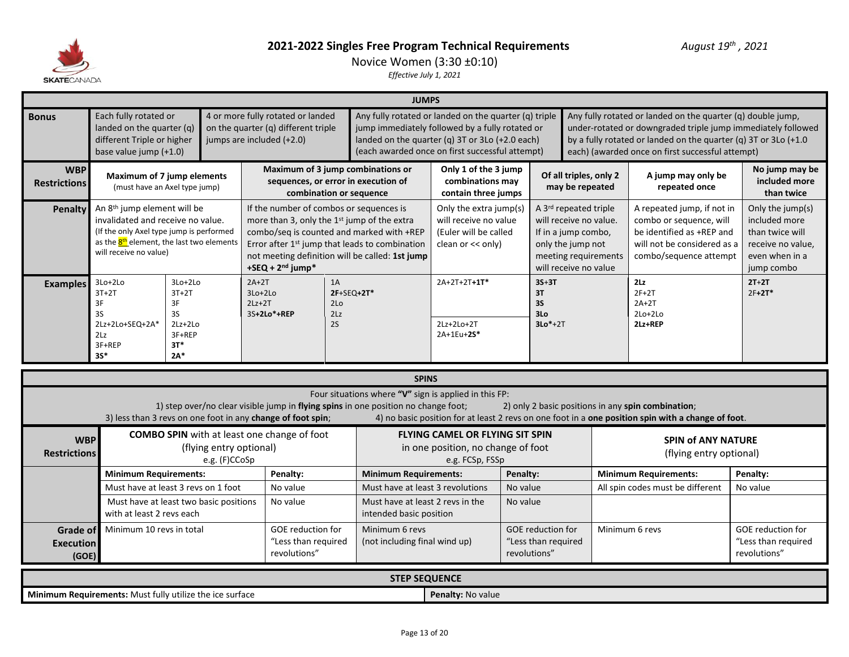

# Novice Women (3:30 ±0:10)

|                                                                                                                                             |                                                                                                                                                                                                                                                                                                                                                                                                                                                                                                                                                               |                                                   |                                          |                         |                                                                          |                                                  | <b>JUMPS</b>                                                                                                                                                                                                   |                                                                                                 |                      |                                                |                                                                                                                                              |                                                                                                                                                                                                                                                    |                                                                                                           |
|---------------------------------------------------------------------------------------------------------------------------------------------|---------------------------------------------------------------------------------------------------------------------------------------------------------------------------------------------------------------------------------------------------------------------------------------------------------------------------------------------------------------------------------------------------------------------------------------------------------------------------------------------------------------------------------------------------------------|---------------------------------------------------|------------------------------------------|-------------------------|--------------------------------------------------------------------------|--------------------------------------------------|----------------------------------------------------------------------------------------------------------------------------------------------------------------------------------------------------------------|-------------------------------------------------------------------------------------------------|----------------------|------------------------------------------------|----------------------------------------------------------------------------------------------------------------------------------------------|----------------------------------------------------------------------------------------------------------------------------------------------------------------------------------------------------------------------------------------------------|-----------------------------------------------------------------------------------------------------------|
| <b>Bonus</b>                                                                                                                                | Each fully rotated or<br>landed on the quarter (q)<br>different Triple or higher<br>base value jump (+1.0)                                                                                                                                                                                                                                                                                                                                                                                                                                                    |                                                   | jumps are included (+2.0)                |                         | 4 or more fully rotated or landed<br>on the quarter (q) different triple |                                                  | Any fully rotated or landed on the quarter (q) triple<br>jump immediately followed by a fully rotated or<br>landed on the quarter (q) 3T or 3Lo (+2.0 each)<br>(each awarded once on first successful attempt) |                                                                                                 |                      |                                                |                                                                                                                                              | Any fully rotated or landed on the quarter (q) double jump,<br>under-rotated or downgraded triple jump immediately followed<br>by a fully rotated or landed on the quarter (q) 3T or 3Lo (+1.0<br>each) (awarded once on first successful attempt) |                                                                                                           |
| <b>WBP</b><br><b>Restrictions</b>                                                                                                           | Maximum of 7 jump elements<br>(must have an Axel type jump)                                                                                                                                                                                                                                                                                                                                                                                                                                                                                                   |                                                   |                                          |                         | sequences, or error in execution of<br>combination or sequence           |                                                  | Maximum of 3 jump combinations or                                                                                                                                                                              | Only 1 of the 3 jump<br>combinations may<br>contain three jumps                                 |                      |                                                | Of all triples, only 2<br>may be repeated                                                                                                    | A jump may only be<br>repeated once                                                                                                                                                                                                                | No jump may be<br>included more<br>than twice                                                             |
| <b>Penalty</b>                                                                                                                              | An 8 <sup>th</sup> jump element will be<br>If the number of combos or sequences is<br>invalidated and receive no value.<br>more than 3, only the 1st jump of the extra<br>(If the only Axel type jump is performed<br>combo/seq is counted and marked with +REP<br>as the 8 <sup>th</sup> element, the last two elements<br>Error after 1 <sup>st</sup> jump that leads to combination<br>will receive no value)<br>not meeting definition will be called: 1st jump<br>+SEQ + $2nd$ jump*<br>$2A+2T$<br>3Lo+2Lo<br>3Lo+2Lo<br>$3T+2T$<br>$3Lo+2Lo$<br>$3T+2T$ |                                                   |                                          |                         |                                                                          |                                                  |                                                                                                                                                                                                                | Only the extra jump(s)<br>will receive no value<br>(Euler will be called<br>clean or $<<$ only) |                      |                                                | A 3rd repeated triple<br>will receive no value.<br>If in a jump combo,<br>only the jump not<br>meeting requirements<br>will receive no value | A repeated jump, if not in<br>combo or sequence, will<br>be identified as +REP and<br>will not be considered as a<br>combo/sequence attempt                                                                                                        | Only the jump(s)<br>included more<br>than twice will<br>receive no value,<br>even when in a<br>jump combo |
| <b>Examples</b>                                                                                                                             | 3F<br>3S<br>2Lz+2Lo+SEQ+2A*<br>2Lz<br>3F+REP<br>$3S*$                                                                                                                                                                                                                                                                                                                                                                                                                                                                                                         | 3F<br>3S<br>$2Lz+2Lo$<br>3F+REP<br>$3T*$<br>$2A*$ |                                          | $2Lz+2T$<br>3S+2Lo*+REP |                                                                          | 1A<br>2F+SEQ+2T*<br>2 <sub>LO</sub><br>2Lz<br>2S |                                                                                                                                                                                                                | $2A+2T+2T+1T*$<br>2Lz+2Lo+2T<br>2A+1Eu+2S*                                                      |                      | $3S+3T$<br>3T<br><b>3S</b><br>3Lo<br>$3Lo*+2T$ |                                                                                                                                              | 2Lz<br>$2F+2T$<br>$2A+2T$<br>$2Lo+2Lo$<br>2Lz+REP                                                                                                                                                                                                  | $2T+2T$<br>$2F+2T*$                                                                                       |
|                                                                                                                                             |                                                                                                                                                                                                                                                                                                                                                                                                                                                                                                                                                               |                                                   |                                          |                         |                                                                          |                                                  | <b>SPINS</b>                                                                                                                                                                                                   |                                                                                                 |                      |                                                |                                                                                                                                              |                                                                                                                                                                                                                                                    |                                                                                                           |
|                                                                                                                                             | 3) less than 3 revs on one foot in any change of foot spin;                                                                                                                                                                                                                                                                                                                                                                                                                                                                                                   |                                                   |                                          |                         |                                                                          |                                                  | Four situations where "V" sign is applied in this FP:<br>1) step over/no clear visible jump in flying spins in one position no change foot;                                                                    |                                                                                                 |                      |                                                |                                                                                                                                              | 2) only 2 basic positions in any spin combination;<br>4) no basic position for at least 2 revs on one foot in a one position spin with a change of foot.                                                                                           |                                                                                                           |
| <b>WBP</b><br><b>Restrictions</b>                                                                                                           |                                                                                                                                                                                                                                                                                                                                                                                                                                                                                                                                                               |                                                   | (flying entry optional)<br>e.g. (F)CCoSp |                         | <b>COMBO SPIN</b> with at least one change of foot                       |                                                  |                                                                                                                                                                                                                | <b>FLYING CAMEL OR FLYING SIT SPIN</b><br>in one position, no change of foot<br>e.g. FCSp, FSSp |                      |                                                |                                                                                                                                              | <b>SPIN of ANY NATURE</b><br>(flying entry optional)                                                                                                                                                                                               |                                                                                                           |
|                                                                                                                                             | <b>Minimum Requirements:</b>                                                                                                                                                                                                                                                                                                                                                                                                                                                                                                                                  |                                                   |                                          |                         | Penalty:                                                                 |                                                  | <b>Minimum Requirements:</b>                                                                                                                                                                                   |                                                                                                 | Penalty:             |                                                |                                                                                                                                              | <b>Minimum Requirements:</b>                                                                                                                                                                                                                       | Penalty:                                                                                                  |
|                                                                                                                                             | Must have at least 3 revs on 1 foot<br>No value<br>Must have at least two basic positions<br>No value<br>with at least 2 revs each                                                                                                                                                                                                                                                                                                                                                                                                                            |                                                   |                                          |                         |                                                                          |                                                  | Must have at least 3 revolutions<br>Must have at least 2 revs in the<br>intended basic position                                                                                                                |                                                                                                 | No value<br>No value |                                                |                                                                                                                                              | All spin codes must be different                                                                                                                                                                                                                   | No value                                                                                                  |
| <b>GOE</b> reduction for<br>Minimum 10 revs in total<br><b>Grade of</b><br>"Less than required<br><b>Execution</b><br>revolutions"<br>(GOE) |                                                                                                                                                                                                                                                                                                                                                                                                                                                                                                                                                               |                                                   |                                          |                         |                                                                          |                                                  | Minimum 6 revs<br><b>GOE</b> reduction for<br>Minimum 6 revs<br>(not including final wind up)<br>"Less than required<br>revolutions"                                                                           |                                                                                                 |                      |                                                | <b>GOE</b> reduction for<br>"Less than required<br>revolutions"                                                                              |                                                                                                                                                                                                                                                    |                                                                                                           |
|                                                                                                                                             |                                                                                                                                                                                                                                                                                                                                                                                                                                                                                                                                                               |                                                   |                                          |                         |                                                                          |                                                  | <b>STEP SEQUENCE</b>                                                                                                                                                                                           |                                                                                                 |                      |                                                |                                                                                                                                              |                                                                                                                                                                                                                                                    |                                                                                                           |
|                                                                                                                                             | Minimum Requirements: Must fully utilize the ice surface                                                                                                                                                                                                                                                                                                                                                                                                                                                                                                      |                                                   |                                          |                         |                                                                          |                                                  |                                                                                                                                                                                                                | Penalty: No value                                                                               |                      |                                                |                                                                                                                                              |                                                                                                                                                                                                                                                    |                                                                                                           |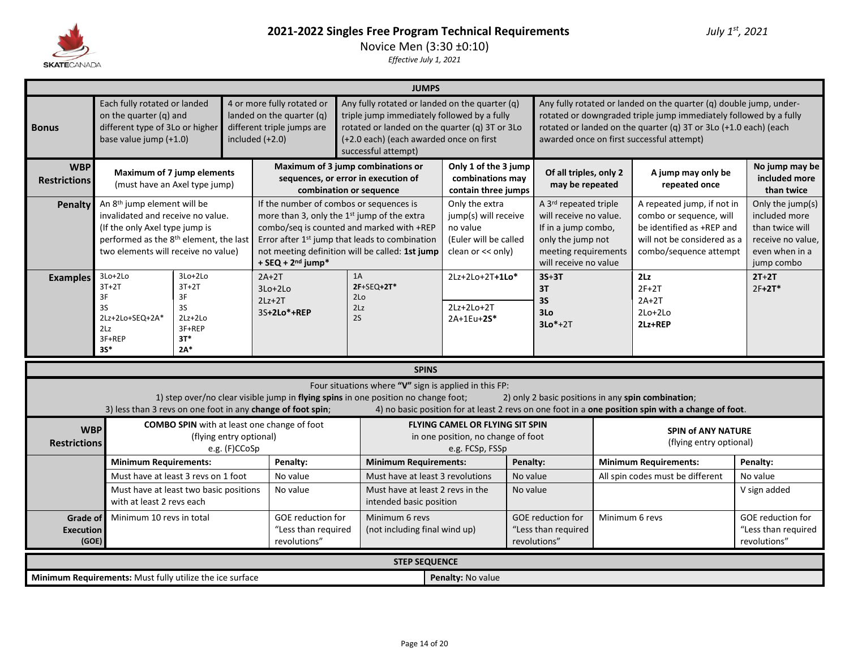

# **2021-2022 Singles Free Program Technical Requirements** *July 1st, 2021* Novice Men (3:30 ±0:10)

|                                   |                                                                                                                                                                                                             |                                                                           |                                                 |                                                                                                                                                                                                                                                                                                     |                                                                                                                                                                                                                   | <b>JUMPS</b>                                  |                                                                                                  |                                         |                                                                                                                                              |                                                   |                                                                                                                                                                                                                                                          |                                                                                                           |
|-----------------------------------|-------------------------------------------------------------------------------------------------------------------------------------------------------------------------------------------------------------|---------------------------------------------------------------------------|-------------------------------------------------|-----------------------------------------------------------------------------------------------------------------------------------------------------------------------------------------------------------------------------------------------------------------------------------------------------|-------------------------------------------------------------------------------------------------------------------------------------------------------------------------------------------------------------------|-----------------------------------------------|--------------------------------------------------------------------------------------------------|-----------------------------------------|----------------------------------------------------------------------------------------------------------------------------------------------|---------------------------------------------------|----------------------------------------------------------------------------------------------------------------------------------------------------------------------------------------------------------------------------------------------------------|-----------------------------------------------------------------------------------------------------------|
| <b>Bonus</b>                      | Each fully rotated or landed<br>on the quarter (q) and<br>different type of 3Lo or higher<br>base value jump (+1.0)                                                                                         |                                                                           | included $(+2.0)$                               | 4 or more fully rotated or<br>landed on the quarter (q)<br>different triple jumps are                                                                                                                                                                                                               | Any fully rotated or landed on the quarter (q)<br>triple jump immediately followed by a fully<br>rotated or landed on the quarter (q) 3T or 3Lo<br>(+2.0 each) (each awarded once on first<br>successful attempt) |                                               |                                                                                                  |                                         |                                                                                                                                              |                                                   | Any fully rotated or landed on the quarter (q) double jump, under-<br>rotated or downgraded triple jump immediately followed by a fully<br>rotated or landed on the quarter (q) 3T or 3Lo (+1.0 each) (each<br>awarded once on first successful attempt) |                                                                                                           |
| <b>WBP</b><br><b>Restrictions</b> |                                                                                                                                                                                                             | <b>Maximum of 7 jump elements</b><br>(must have an Axel type jump)        |                                                 |                                                                                                                                                                                                                                                                                                     | Maximum of 3 jump combinations or<br>sequences, or error in execution of<br>combination or sequence                                                                                                               |                                               | Only 1 of the 3 jump<br>combinations may<br>contain three jumps                                  |                                         | Of all triples, only 2<br>may be repeated                                                                                                    |                                                   | A jump may only be<br>repeated once                                                                                                                                                                                                                      | No jump may be<br>included more<br>than twice                                                             |
| <b>Penalty</b>                    | An 8 <sup>th</sup> jump element will be<br>invalidated and receive no value.<br>(If the only Axel type jump is<br>performed as the 8 <sup>th</sup> element, the last<br>two elements will receive no value) |                                                                           |                                                 | If the number of combos or sequences is<br>more than 3, only the 1st jump of the extra<br>combo/seq is counted and marked with +REP<br>Error after 1 <sup>st</sup> jump that leads to combination<br>not meeting definition will be called: 1st jump<br>$+$ SEQ + 2 <sup>nd</sup> jump <sup>*</sup> |                                                                                                                                                                                                                   |                                               | Only the extra<br>jump(s) will receive<br>no value<br>(Euler will be called<br>clean or << only) |                                         | A 3rd repeated triple<br>will receive no value.<br>If in a jump combo,<br>only the jump not<br>meeting requirements<br>will receive no value |                                                   | A repeated jump, if not in<br>combo or sequence, will<br>be identified as +REP and<br>will not be considered as a<br>combo/sequence attempt                                                                                                              | Only the jump(s)<br>included more<br>than twice will<br>receive no value,<br>even when in a<br>jump combo |
| <b>Examples</b>                   | 3Lo+2Lo<br>$3T+2T$<br>3F<br>3S<br>2Lz+2Lo+SEQ+2A*<br>2Lz<br>3F+REP<br>$35*$                                                                                                                                 | $3Lo+2Lo$<br>$3T+2T$<br>3F<br>3S<br>$2Lz+2Lo$<br>3F+REP<br>$3T*$<br>$2A*$ | $2A+2T$<br>$3Lo+2Lo$<br>$2Lz+2T$<br>3S+2Lo*+REP | 1A<br>2F+SEQ+2T*<br>2Lo<br>2Lz<br>2S                                                                                                                                                                                                                                                                |                                                                                                                                                                                                                   | 2Lz+2Lo+2T+1Lo*<br>$2Lz+2Lo+2T$<br>2A+1Eu+2S* |                                                                                                  | $3S+3T$<br>3T<br>3S<br>3Lo<br>$3Lo*+2T$ |                                                                                                                                              | 2Lz<br>$2F+2T$<br>$2A+2T$<br>$2Lo+2Lo$<br>2Lz+REP | $2T+2T$<br>$2F+2T*$                                                                                                                                                                                                                                      |                                                                                                           |
|                                   |                                                                                                                                                                                                             |                                                                           |                                                 |                                                                                                                                                                                                                                                                                                     |                                                                                                                                                                                                                   | <b>SPINS</b>                                  |                                                                                                  |                                         |                                                                                                                                              |                                                   |                                                                                                                                                                                                                                                          |                                                                                                           |
|                                   |                                                                                                                                                                                                             |                                                                           |                                                 | 3) less than 3 revs on one foot in any change of foot spin;                                                                                                                                                                                                                                         | Four situations where "V" sign is applied in this FP:<br>1) step over/no clear visible jump in flying spins in one position no change foot;                                                                       |                                               |                                                                                                  |                                         |                                                                                                                                              |                                                   | 2) only 2 basic positions in any spin combination;<br>4) no basic position for at least 2 revs on one foot in a one position spin with a change of foot.                                                                                                 |                                                                                                           |
| <b>WBP</b><br><b>Restrictions</b> |                                                                                                                                                                                                             | (flying entry optional)<br>e.g. (F)CCoSp                                  |                                                 | <b>COMBO SPIN</b> with at least one change of foot                                                                                                                                                                                                                                                  |                                                                                                                                                                                                                   |                                               | FLYING CAMEL OR FLYING SIT SPIN<br>in one position, no change of foot<br>e.g. FCSp, FSSp         |                                         |                                                                                                                                              |                                                   | <b>SPIN of ANY NATURE</b><br>(flying entry optional)                                                                                                                                                                                                     |                                                                                                           |
|                                   | <b>Minimum Requirements:</b>                                                                                                                                                                                |                                                                           |                                                 | Penalty:                                                                                                                                                                                                                                                                                            | <b>Minimum Requirements:</b>                                                                                                                                                                                      |                                               |                                                                                                  | Penalty:                                |                                                                                                                                              |                                                   | <b>Minimum Requirements:</b>                                                                                                                                                                                                                             | Penalty:                                                                                                  |
|                                   | Must have at least 3 revs on 1 foot                                                                                                                                                                         |                                                                           |                                                 | No value<br>No value                                                                                                                                                                                                                                                                                | Must have at least 3 revolutions                                                                                                                                                                                  |                                               |                                                                                                  | No value                                |                                                                                                                                              |                                                   | All spin codes must be different                                                                                                                                                                                                                         | No value                                                                                                  |
|                                   | Must have at least two basic positions<br>with at least 2 revs each                                                                                                                                         | Must have at least 2 revs in the<br>intended basic position               |                                                 |                                                                                                                                                                                                                                                                                                     | No value                                                                                                                                                                                                          |                                               |                                                                                                  |                                         | V sign added                                                                                                                                 |                                                   |                                                                                                                                                                                                                                                          |                                                                                                           |
|                                   | GOE reduction for<br>Minimum 10 revs in total<br>Grade of<br>"Less than required<br><b>Execution</b><br>revolutions"<br>(GOE)                                                                               |                                                                           |                                                 |                                                                                                                                                                                                                                                                                                     |                                                                                                                                                                                                                   |                                               | (not including final wind up)                                                                    |                                         | GOE reduction for<br>"Less than required<br>revolutions"                                                                                     | Minimum 6 revs                                    |                                                                                                                                                                                                                                                          | GOE reduction for<br>"Less than required<br>revolutions"                                                  |
|                                   |                                                                                                                                                                                                             |                                                                           |                                                 |                                                                                                                                                                                                                                                                                                     | <b>STEP SEQUENCE</b>                                                                                                                                                                                              |                                               |                                                                                                  |                                         |                                                                                                                                              |                                                   |                                                                                                                                                                                                                                                          |                                                                                                           |
|                                   | Minimum Requirements: Must fully utilize the ice surface                                                                                                                                                    |                                                                           |                                                 |                                                                                                                                                                                                                                                                                                     |                                                                                                                                                                                                                   |                                               | Penalty: No value                                                                                |                                         |                                                                                                                                              |                                                   |                                                                                                                                                                                                                                                          |                                                                                                           |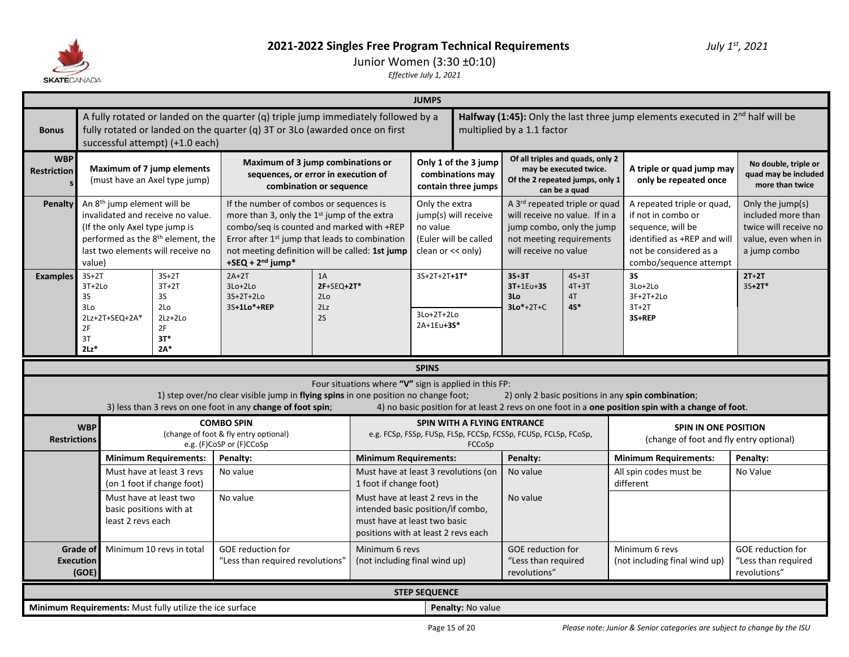

Junior Women (3:30 ±0:10)

|                                  | <b>JUMPS</b><br>A fully rotated or landed on the quarter (q) triple jump immediately followed by a<br>Halfway (1:45): Only the last three jump elements executed in $2nd$ half will be                                     |                                                         |                                                                                                                                                                                                                                                                            |                                             |                                                                                                                                              |                                                   |                                                                 |                                                                                                                                                   |                                         |                                                                                                                                                          |                                                                                                        |  |  |
|----------------------------------|----------------------------------------------------------------------------------------------------------------------------------------------------------------------------------------------------------------------------|---------------------------------------------------------|----------------------------------------------------------------------------------------------------------------------------------------------------------------------------------------------------------------------------------------------------------------------------|---------------------------------------------|----------------------------------------------------------------------------------------------------------------------------------------------|---------------------------------------------------|-----------------------------------------------------------------|---------------------------------------------------------------------------------------------------------------------------------------------------|-----------------------------------------|----------------------------------------------------------------------------------------------------------------------------------------------------------|--------------------------------------------------------------------------------------------------------|--|--|
| <b>Bonus</b>                     | successful attempt) (+1.0 each)                                                                                                                                                                                            |                                                         | fully rotated or landed on the quarter (q) 3T or 3Lo (awarded once on first                                                                                                                                                                                                |                                             |                                                                                                                                              |                                                   |                                                                 | multiplied by a 1.1 factor                                                                                                                        |                                         |                                                                                                                                                          |                                                                                                        |  |  |
| <b>WBP</b><br><b>Restriction</b> | <b>Maximum of 7 jump elements</b><br>(must have an Axel type jump)                                                                                                                                                         |                                                         | Maximum of 3 jump combinations or<br>sequences, or error in execution of<br>combination or sequence                                                                                                                                                                        |                                             |                                                                                                                                              |                                                   | Only 1 of the 3 jump<br>combinations may<br>contain three jumps | Of all triples and quads, only 2<br>Of the 2 repeated jumps, only 1                                                                               | may be executed twice.<br>can be a quad | A triple or quad jump may<br>only be repeated once                                                                                                       | No double, triple or<br>quad may be included<br>more than twice                                        |  |  |
| Penalty                          | An 8 <sup>th</sup> jump element will be<br>invalidated and receive no value.<br>(If the only Axel type jump is<br>performed as the 8 <sup>th</sup> element, the<br>last two elements will receive no<br>value)             |                                                         | If the number of combos or sequences is<br>more than 3, only the 1st jump of the extra<br>combo/seg is counted and marked with +REP<br>Error after 1 <sup>st</sup> jump that leads to combination<br>not meeting definition will be called: 1st jump<br>+SEQ + $2nd$ jump* |                                             |                                                                                                                                              | Only the extra<br>no value<br>clean or $<<$ only) | jump(s) will receive<br>(Euler will be called                   | A 3rd repeated triple or quad<br>will receive no value. If in a<br>jump combo, only the jump<br>not meeting requirements<br>will receive no value |                                         | A repeated triple or quad,<br>if not in combo or<br>sequence, will be<br>identified as +REP and will<br>not be considered as a<br>combo/sequence attempt | Only the jump(s)<br>included more than<br>twice will receive no<br>value, even when in<br>a jump combo |  |  |
| <b>Examples</b>                  | $3S+2T$<br>$3T+2Lo$<br>3S<br>3Lo<br>2Lz+2T+SEQ+2A*<br>2F<br>3T<br>$2Lz$ *                                                                                                                                                  | 1A<br>$2F+SEQ+2T*$<br>2 <sub>LO</sub><br>2Lz<br>2S      |                                                                                                                                                                                                                                                                            | $3S+2T+2T+1T^*$<br>3Lo+2T+2Lo<br>2A+1Eu+3S* |                                                                                                                                              | $3S+3T$<br>3T+1Eu+3S<br>3Lo<br>$3Lo*+2T+C$        | $4S+3T$<br>$4T+3T$<br>4T<br>$4S^*$                              | 3S<br>$3Lo+2Lo$<br>3F+2T+2Lo<br>$3T+2T$<br>3S+REP                                                                                                 | $2T+2T$<br>$3S+2T*$                     |                                                                                                                                                          |                                                                                                        |  |  |
|                                  |                                                                                                                                                                                                                            |                                                         |                                                                                                                                                                                                                                                                            |                                             |                                                                                                                                              |                                                   |                                                                 |                                                                                                                                                   |                                         |                                                                                                                                                          |                                                                                                        |  |  |
|                                  | $2A*$<br><b>SPINS</b><br>Four situations where "V" sign is applied in this FP:<br>1) step over/no clear visible jump in flying spins in one position no change foot;<br>2) only 2 basic positions in any spin combination; |                                                         |                                                                                                                                                                                                                                                                            |                                             |                                                                                                                                              |                                                   |                                                                 |                                                                                                                                                   |                                         |                                                                                                                                                          |                                                                                                        |  |  |
|                                  |                                                                                                                                                                                                                            |                                                         | 3) less than 3 revs on one foot in any change of foot spin;                                                                                                                                                                                                                |                                             |                                                                                                                                              |                                                   |                                                                 |                                                                                                                                                   |                                         | 4) no basic position for at least 2 revs on one foot in a one position spin with a change of foot.                                                       |                                                                                                        |  |  |
| <b>Restrictions</b>              | <b>WBP</b>                                                                                                                                                                                                                 |                                                         | <b>COMBO SPIN</b><br>(change of foot & fly entry optional)<br>e.g. (F)CoSP or (F)CCoSp                                                                                                                                                                                     |                                             |                                                                                                                                              |                                                   | SPIN WITH A FLYING ENTRANCE<br>FCCoSp                           | e.g. FCSp, FSSp, FUSp, FLSp, FCCSp, FCSSp, FCUSp, FCLSp, FCoSp,                                                                                   |                                         | <b>SPIN IN ONE POSITION</b><br>(change of foot and fly entry optional)                                                                                   |                                                                                                        |  |  |
|                                  |                                                                                                                                                                                                                            | <b>Minimum Requirements:</b>                            | Penalty:                                                                                                                                                                                                                                                                   |                                             | <b>Minimum Requirements:</b>                                                                                                                 |                                                   |                                                                 | Penalty:                                                                                                                                          |                                         | <b>Minimum Requirements:</b>                                                                                                                             | Penalty:                                                                                               |  |  |
|                                  |                                                                                                                                                                                                                            | Must have at least 3 revs<br>(on 1 foot if change foot) | No value                                                                                                                                                                                                                                                                   |                                             | Must have at least 3 revolutions (on<br>1 foot if change foot)                                                                               |                                                   |                                                                 | No value                                                                                                                                          |                                         | All spin codes must be<br>different                                                                                                                      | No Value                                                                                               |  |  |
|                                  | Must have at least two<br>basic positions with at<br>least 2 revs each                                                                                                                                                     |                                                         | No value                                                                                                                                                                                                                                                                   |                                             | Must have at least 2 revs in the<br>intended basic position/if combo,<br>must have at least two basic<br>positions with at least 2 revs each |                                                   |                                                                 | No value                                                                                                                                          |                                         |                                                                                                                                                          |                                                                                                        |  |  |
|                                  | <b>Grade of</b><br><b>Execution</b><br>(GOE)                                                                                                                                                                               | Minimum 10 revs in total                                | <b>GOE</b> reduction for<br>"Less than required revolutions"                                                                                                                                                                                                               |                                             | Minimum 6 revs<br>(not including final wind up)                                                                                              |                                                   |                                                                 | <b>GOE</b> reduction for<br>"Less than required<br>revolutions"                                                                                   |                                         | Minimum 6 revs<br>(not including final wind up)                                                                                                          | <b>GOE reduction for</b><br>"Less than required<br>revolutions"                                        |  |  |
|                                  |                                                                                                                                                                                                                            |                                                         |                                                                                                                                                                                                                                                                            |                                             |                                                                                                                                              | <b>STEP SEQUENCE</b>                              |                                                                 |                                                                                                                                                   |                                         |                                                                                                                                                          |                                                                                                        |  |  |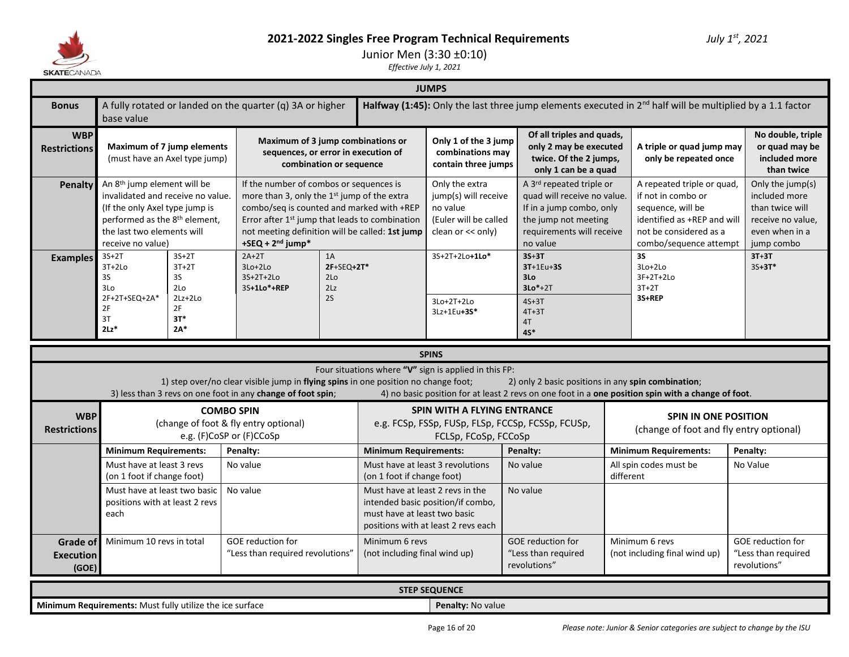

**Execution**

Junior Men (3:30 ±0:10)

*Effective July 1, 2021*

| <b>SKAI E</b> CANADA              |                                                                                                                                                                                                                |                                                                             |                                                                                                                                                                                                                                                                                      |                                                  |                                                                  |                                                                                                  |                                                                                                                                                      |           |                                                                                                                                                          |                                                                                                           |  |  |  |  |
|-----------------------------------|----------------------------------------------------------------------------------------------------------------------------------------------------------------------------------------------------------------|-----------------------------------------------------------------------------|--------------------------------------------------------------------------------------------------------------------------------------------------------------------------------------------------------------------------------------------------------------------------------------|--------------------------------------------------|------------------------------------------------------------------|--------------------------------------------------------------------------------------------------|------------------------------------------------------------------------------------------------------------------------------------------------------|-----------|----------------------------------------------------------------------------------------------------------------------------------------------------------|-----------------------------------------------------------------------------------------------------------|--|--|--|--|
|                                   | <b>JUMPS</b><br>Halfway (1:45): Only the last three jump elements executed in $2^{nd}$ half will be multiplied by a 1.1 factor<br>A fully rotated or landed on the quarter (q) 3A or higher                    |                                                                             |                                                                                                                                                                                                                                                                                      |                                                  |                                                                  |                                                                                                  |                                                                                                                                                      |           |                                                                                                                                                          |                                                                                                           |  |  |  |  |
| <b>Bonus</b>                      | base value                                                                                                                                                                                                     |                                                                             |                                                                                                                                                                                                                                                                                      |                                                  |                                                                  |                                                                                                  |                                                                                                                                                      |           |                                                                                                                                                          |                                                                                                           |  |  |  |  |
| <b>WBP</b><br><b>Restrictions</b> | Maximum of 7 jump elements<br>(must have an Axel type jump)                                                                                                                                                    |                                                                             | Maximum of 3 jump combinations or<br>sequences, or error in execution of                                                                                                                                                                                                             | combination or sequence                          |                                                                  | Only 1 of the 3 jump<br>combinations may<br>contain three jumps                                  | Of all triples and quads,<br>only 2 may be executed<br>twice. Of the 2 jumps,<br>only 1 can be a quad                                                |           | A triple or quad jump may<br>only be repeated once                                                                                                       | No double, triple<br>or quad may be<br>included more<br>than twice                                        |  |  |  |  |
| Penalty                           | An 8 <sup>th</sup> jump element will be<br>invalidated and receive no value.<br>(If the only Axel type jump is<br>performed as the 8 <sup>th</sup> element,<br>the last two elements will<br>receive no value) |                                                                             | If the number of combos or sequences is<br>more than 3, only the 1st jump of the extra<br>combo/seq is counted and marked with +REP<br>Error after 1 <sup>st</sup> jump that leads to combination<br>not meeting definition will be called: 1st jump<br>+SEQ + 2 <sup>nd</sup> jump* |                                                  |                                                                  | Only the extra<br>jump(s) will receive<br>no value<br>(Euler will be called<br>clean or << only) | A 3rd repeated triple or<br>quad will receive no value.<br>If in a jump combo, only<br>the jump not meeting<br>requirements will receive<br>no value |           | A repeated triple or quad,<br>if not in combo or<br>sequence, will be<br>identified as +REP and will<br>not be considered as a<br>combo/sequence attempt | Only the jump(s)<br>included more<br>than twice will<br>receive no value,<br>even when in a<br>jump combo |  |  |  |  |
| <b>Examples</b>                   | $3S+2T$<br>$3T+2Lo$<br>3S<br>3Lo<br>2F+2T+SEQ+2A*<br>2F<br>3T<br>$2Lz$ *                                                                                                                                       | $3S+2T$<br>$3T+2T$<br>3S<br>2Lo<br>$2Lz+2Lo$<br>2F<br>$3T*$<br>$2\Lambda^*$ | $2A+2T$<br>$3Lo+2Lo$<br>$3S+2T+2Lo$<br>3S+1Lo*+REP                                                                                                                                                                                                                                   | 1A<br>2F+SEQ+2T*<br>2 <sub>LO</sub><br>2Lz<br>2S |                                                                  |                                                                                                  | $3S+3T$<br>$3T+1Eu+3S$<br>3Lo<br>$3Lo*+2T$<br>$4S+3T$<br>$4T+3T$<br>4T<br>$4S*$                                                                      |           | 3S<br>3Lo+2Lo<br>3F+2T+2Lo<br>$3T+2T$<br>3S+REP                                                                                                          | $3T+3T$<br>$35 + 3T*$                                                                                     |  |  |  |  |
|                                   |                                                                                                                                                                                                                |                                                                             |                                                                                                                                                                                                                                                                                      |                                                  |                                                                  | <b>SPINS</b>                                                                                     |                                                                                                                                                      |           |                                                                                                                                                          |                                                                                                           |  |  |  |  |
|                                   |                                                                                                                                                                                                                |                                                                             | 1) step over/no clear visible jump in flying spins in one position no change foot;<br>3) less than 3 revs on one foot in any change of foot spin;                                                                                                                                    |                                                  |                                                                  | Four situations where "V" sign is applied in this FP:                                            | 2) only 2 basic positions in any spin combination;                                                                                                   |           | 4) no basic position for at least 2 revs on one foot in a one position spin with a change of foot.                                                       |                                                                                                           |  |  |  |  |
| <b>WBP</b><br><b>Restrictions</b> |                                                                                                                                                                                                                |                                                                             | <b>COMBO SPIN</b><br>(change of foot & fly entry optional)<br>e.g. (F)CoSP or (F)CCoSp                                                                                                                                                                                               |                                                  |                                                                  | SPIN WITH A FLYING ENTRANCE<br>FCLSp, FCoSp, FCCoSp                                              | e.g. FCSp, FSSp, FUSp, FLSp, FCCSp, FCSSp, FCUSp,                                                                                                    |           | <b>SPIN IN ONE POSITION</b><br>(change of foot and fly entry optional)                                                                                   |                                                                                                           |  |  |  |  |
|                                   | <b>Minimum Requirements:</b>                                                                                                                                                                                   |                                                                             | Penalty:                                                                                                                                                                                                                                                                             |                                                  | <b>Minimum Requirements:</b>                                     |                                                                                                  | Penalty:                                                                                                                                             |           | <b>Minimum Requirements:</b>                                                                                                                             | Penalty:                                                                                                  |  |  |  |  |
|                                   | Must have at least 3 revs<br>(on 1 foot if change foot)                                                                                                                                                        |                                                                             | No value                                                                                                                                                                                                                                                                             |                                                  | (on 1 foot if change foot)                                       | Must have at least 3 revolutions                                                                 | No value                                                                                                                                             | different | All spin codes must be                                                                                                                                   | No Value                                                                                                  |  |  |  |  |
|                                   | Must have at least two basic<br>No value<br>positions with at least 2 revs<br>each                                                                                                                             |                                                                             |                                                                                                                                                                                                                                                                                      |                                                  | Must have at least 2 revs in the<br>must have at least two basic | intended basic position/if combo,<br>positions with at least 2 revs each                         | No value                                                                                                                                             |           |                                                                                                                                                          |                                                                                                           |  |  |  |  |
| Grade of                          | Minimum 10 revs in total                                                                                                                                                                                       |                                                                             | GOE reduction for                                                                                                                                                                                                                                                                    |                                                  | Minimum 6 revs                                                   |                                                                                                  | <b>GOE</b> reduction for                                                                                                                             |           | Minimum 6 revs                                                                                                                                           | <b>GOE</b> reduction for                                                                                  |  |  |  |  |

| (GOE)                                                    |                      | revolutions"             |  | revolutions' |
|----------------------------------------------------------|----------------------|--------------------------|--|--------------|
|                                                          | <b>STEP SEQUENCE</b> |                          |  |              |
| Minimum Requirements: Must fully utilize the ice surface |                      | <b>Penalty: No value</b> |  |              |

(not including final wind up)

"Less than required revolutions"

"Less than required

"Less than required

(not including final wind up)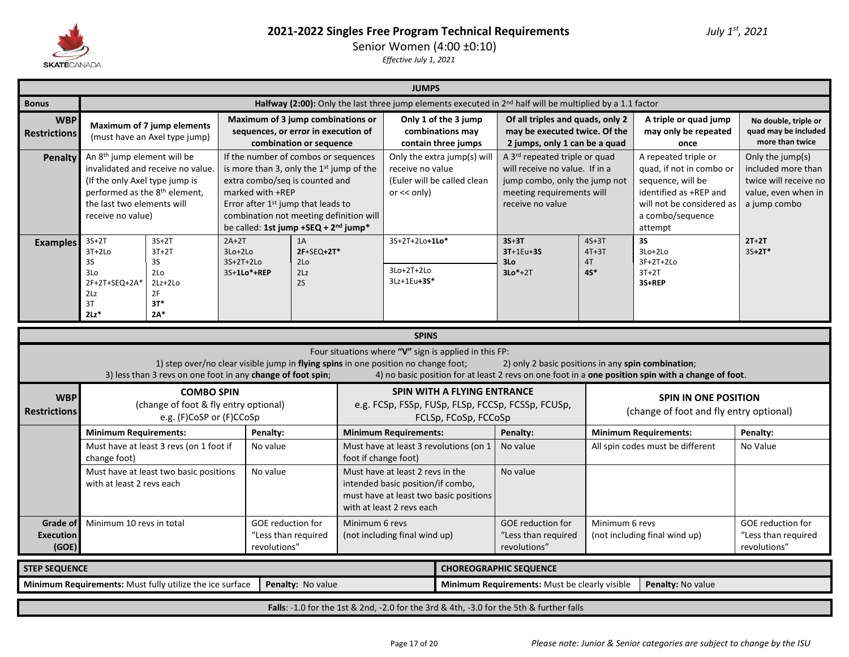

Senior Women (4:00 ±0:10)

|                                       |                                                                                                                                                                           |                                                                                        |                                                                                                                                                                                                                                                                                         |                         |                                               | <b>JUMPS</b>                                                                                                                                 |                                                                 |                                                                                                                                                               |                                                 |                                                                                                                                                             |                                                                                                        |  |
|---------------------------------------|---------------------------------------------------------------------------------------------------------------------------------------------------------------------------|----------------------------------------------------------------------------------------|-----------------------------------------------------------------------------------------------------------------------------------------------------------------------------------------------------------------------------------------------------------------------------------------|-------------------------|-----------------------------------------------|----------------------------------------------------------------------------------------------------------------------------------------------|-----------------------------------------------------------------|---------------------------------------------------------------------------------------------------------------------------------------------------------------|-------------------------------------------------|-------------------------------------------------------------------------------------------------------------------------------------------------------------|--------------------------------------------------------------------------------------------------------|--|
| <b>Bonus</b>                          | Halfway (2:00): Only the last three jump elements executed in $2^{nd}$ half will be multiplied by a 1.1 factor<br>Maximum of 3 jump combinations or                       |                                                                                        |                                                                                                                                                                                                                                                                                         |                         |                                               |                                                                                                                                              |                                                                 |                                                                                                                                                               |                                                 |                                                                                                                                                             |                                                                                                        |  |
| <b>WBP</b><br><b>Restrictions</b>     |                                                                                                                                                                           | Maximum of 7 jump elements<br>(must have an Axel type jump)                            | sequences, or error in execution of                                                                                                                                                                                                                                                     | combination or sequence |                                               |                                                                                                                                              | Only 1 of the 3 jump<br>combinations may<br>contain three jumps | Of all triples and quads, only 2<br>may be executed twice. Of the<br>2 jumps, only 1 can be a quad                                                            |                                                 | A triple or quad jump<br>may only be repeated<br>once                                                                                                       | No double, triple or<br>quad may be included<br>more than twice                                        |  |
| Penalty                               | An 8 <sup>th</sup> jump element will be<br>(If the only Axel type jump is<br>performed as the 8 <sup>th</sup> element,<br>the last two elements will<br>receive no value) | invalidated and receive no value.                                                      | If the number of combos or sequences<br>is more than 3, only the 1st jump of the<br>extra combo/seq is counted and<br>marked with +REP<br>Error after 1 <sup>st</sup> jump that leads to<br>combination not meeting definition will<br>be called: 1st jump +SEQ + 2 <sup>nd</sup> jump* |                         |                                               | receive no value<br>or $<<$ only)                                                                                                            | Only the extra jump(s) will<br>(Euler will be called clean      | A 3 <sup>rd</sup> repeated triple or quad<br>will receive no value. If in a<br>jump combo, only the jump not<br>meeting requirements will<br>receive no value |                                                 | A repeated triple or<br>quad, if not in combo or<br>sequence, will be<br>identified as +REP and<br>will not be considered as<br>a combo/sequence<br>attempt | Only the jump(s)<br>included more than<br>twice will receive no<br>value, even when in<br>a jump combo |  |
| <b>Examples</b>                       | $3S+2T$<br>$3T+2Lo$<br><b>3S</b><br>3Lo<br>2F+2T+SEQ+2A*<br>2Lz<br>3T<br>$2Lz$ *                                                                                          | $3S+2T$<br>$3T+2T$<br>3S<br>2 <sub>LO</sub><br>$2Lz+2Lo$<br>2F<br>$3T*$<br>$2A^*$      | $2A+2T$<br>$3Lo+2Lo$<br>$3S+2T+2Lo$<br>3S+1Lo*+REP                                                                                                                                                                                                                                      | $2F+SEQ+2T*$            | 3S+2T+2Lo+1Lo*<br>$3Lo+2T+2Lo$<br>3Lz+1Eu+3S* |                                                                                                                                              | $3S+3T$<br>$3T+1Eu+3S$<br>3 <sub>0</sub><br>$3Lo*+2T$           | $4S+3T$<br>$4T+3T$<br>4T<br>4S*                                                                                                                               | 3S<br>3Lo+2Lo<br>3F+2T+2Lo<br>$3T+2T$<br>3S+REP | $2T+2T$<br>$3S+2T*$                                                                                                                                         |                                                                                                        |  |
|                                       |                                                                                                                                                                           |                                                                                        |                                                                                                                                                                                                                                                                                         |                         |                                               | <b>SPINS</b>                                                                                                                                 |                                                                 |                                                                                                                                                               |                                                 |                                                                                                                                                             |                                                                                                        |  |
|                                       |                                                                                                                                                                           |                                                                                        | 1) step over/no clear visible jump in flying spins in one position no change foot;<br>3) less than 3 revs on one foot in any change of foot spin;                                                                                                                                       |                         |                                               |                                                                                                                                              | Four situations where "V" sign is applied in this FP:           | 2) only 2 basic positions in any spin combination;                                                                                                            |                                                 | 4) no basic position for at least 2 revs on one foot in a one position spin with a change of foot.                                                          |                                                                                                        |  |
| <b>WBP</b><br><b>Restrictions</b>     |                                                                                                                                                                           | <b>COMBO SPIN</b><br>(change of foot & fly entry optional)<br>e.g. (F)CoSP or (F)CCoSp |                                                                                                                                                                                                                                                                                         |                         |                                               |                                                                                                                                              | <b>SPIN WITH A FLYING ENTRANCE</b><br>FCLSp, FCoSp, FCCoSp      | e.g. FCSp, FSSp, FUSp, FLSp, FCCSp, FCSSp, FCUSp,                                                                                                             |                                                 | <b>SPIN IN ONE POSITION</b><br>(change of foot and fly entry optional)                                                                                      |                                                                                                        |  |
|                                       | <b>Minimum Requirements:</b>                                                                                                                                              |                                                                                        | Penalty:                                                                                                                                                                                                                                                                                |                         |                                               | <b>Minimum Requirements:</b>                                                                                                                 |                                                                 | Penalty:                                                                                                                                                      |                                                 | <b>Minimum Requirements:</b>                                                                                                                                | Penalty:                                                                                               |  |
|                                       | change foot)                                                                                                                                                              | Must have at least 3 revs (on 1 foot if                                                | No value                                                                                                                                                                                                                                                                                |                         | foot if change foot)                          |                                                                                                                                              | Must have at least 3 revolutions (on 1                          | No value                                                                                                                                                      |                                                 | All spin codes must be different                                                                                                                            | No Value                                                                                               |  |
|                                       | with at least 2 revs each                                                                                                                                                 | Must have at least two basic positions                                                 | No value                                                                                                                                                                                                                                                                                |                         |                                               | Must have at least 2 revs in the<br>intended basic position/if combo,<br>must have at least two basic positions<br>with at least 2 revs each |                                                                 | No value                                                                                                                                                      |                                                 |                                                                                                                                                             |                                                                                                        |  |
| Grade of<br><b>Execution</b><br>(GOE) | Minimum 10 revs in total                                                                                                                                                  |                                                                                        | <b>GOE</b> reduction for<br>"Less than required<br>revolutions"                                                                                                                                                                                                                         |                         | Minimum 6 revs                                | (not including final wind up)                                                                                                                |                                                                 | <b>GOE reduction for</b><br>"Less than required<br>revolutions"                                                                                               | Minimum 6 revs                                  | (not including final wind up)                                                                                                                               | <b>GOE</b> reduction for<br>"Less than required<br>revolutions"                                        |  |
| <b>STEP SEQUENCE</b>                  |                                                                                                                                                                           |                                                                                        |                                                                                                                                                                                                                                                                                         |                         |                                               |                                                                                                                                              |                                                                 | <b>CHOREOGRAPHIC SEQUENCE</b>                                                                                                                                 |                                                 |                                                                                                                                                             |                                                                                                        |  |
|                                       | Minimum Requirements: Must fully utilize the ice surface<br>Penalty: No value<br>Minimum Requirements: Must be clearly visible<br>Penalty: No value                       |                                                                                        |                                                                                                                                                                                                                                                                                         |                         |                                               |                                                                                                                                              |                                                                 |                                                                                                                                                               |                                                 |                                                                                                                                                             |                                                                                                        |  |
|                                       |                                                                                                                                                                           |                                                                                        |                                                                                                                                                                                                                                                                                         |                         |                                               |                                                                                                                                              |                                                                 | Falls: -1.0 for the 1st & 2nd, -2.0 for the 3rd & 4th, -3.0 for the 5th & further falls                                                                       |                                                 |                                                                                                                                                             |                                                                                                        |  |
|                                       |                                                                                                                                                                           |                                                                                        |                                                                                                                                                                                                                                                                                         |                         |                                               |                                                                                                                                              |                                                                 |                                                                                                                                                               |                                                 |                                                                                                                                                             |                                                                                                        |  |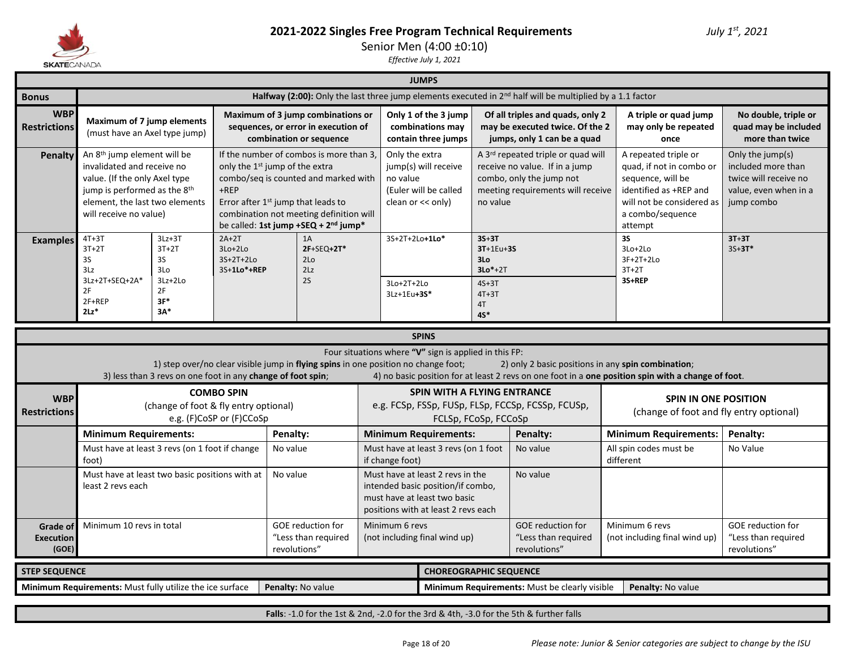

Senior Men (4:00 ±0:10)

*Effective July 1, 2021*

#### **JUMPS**

|                                                                                                                                      |                                                                                                                                                                                                                                                                                                                          |                                                             |                                                       |          |                                                                                                                                                                              |                 | <b>JUMPS</b>                                                                                                                                 |                                                                               |                                                                                                                                       |                                                                                                                                                             |                                                                                                        |  |
|--------------------------------------------------------------------------------------------------------------------------------------|--------------------------------------------------------------------------------------------------------------------------------------------------------------------------------------------------------------------------------------------------------------------------------------------------------------------------|-------------------------------------------------------------|-------------------------------------------------------|----------|------------------------------------------------------------------------------------------------------------------------------------------------------------------------------|-----------------|----------------------------------------------------------------------------------------------------------------------------------------------|-------------------------------------------------------------------------------|---------------------------------------------------------------------------------------------------------------------------------------|-------------------------------------------------------------------------------------------------------------------------------------------------------------|--------------------------------------------------------------------------------------------------------|--|
| <b>Bonus</b>                                                                                                                         |                                                                                                                                                                                                                                                                                                                          |                                                             |                                                       |          |                                                                                                                                                                              |                 |                                                                                                                                              |                                                                               | Halfway (2:00): Only the last three jump elements executed in $2^{nd}$ half will be multiplied by a 1.1 factor                        |                                                                                                                                                             |                                                                                                        |  |
| <b>WBP</b><br><b>Restrictions</b>                                                                                                    | Maximum of 7 jump elements<br>(must have an Axel type jump)                                                                                                                                                                                                                                                              |                                                             |                                                       |          | Maximum of 3 jump combinations or<br>sequences, or error in execution of<br>combination or sequence                                                                          |                 | Only 1 of the 3 jump<br>combinations may<br>contain three jumps                                                                              |                                                                               | Of all triples and quads, only 2<br>may be executed twice. Of the 2<br>jumps, only 1 can be a quad                                    | A triple or quad jump<br>may only be repeated<br>once                                                                                                       | No double, triple or<br>quad may be included<br>more than twice                                        |  |
| Penalty                                                                                                                              | An 8 <sup>th</sup> jump element will be<br>invalidated and receive no<br>value. (If the only Axel type<br>jump is performed as the 8 <sup>th</sup><br>element, the last two elements<br>will receive no value)                                                                                                           |                                                             | only the 1 <sup>st</sup> jump of the extra<br>$+$ REP |          | If the number of combos is more than 3.<br>combo/seq is counted and marked with<br>Error after 1 <sup>st</sup> jump that leads to<br>combination not meeting definition will | no value        | Only the extra<br>jump(s) will receive<br>(Euler will be called<br>clean or $<<$ only)                                                       | no value                                                                      | A 3rd repeated triple or quad will<br>receive no value. If in a jump<br>combo, only the jump not<br>meeting requirements will receive | A repeated triple or<br>quad, if not in combo or<br>sequence, will be<br>identified as +REP and<br>will not be considered as<br>a combo/sequence<br>attempt | Only the jump(s)<br>included more than<br>twice will receive no<br>value, even when in a<br>jump combo |  |
| <b>Examples</b>                                                                                                                      | be called: 1st jump +SEQ + 2 <sup>nd</sup> jump*<br>$2A+2T$<br>$4T+3T$<br>$3Lz + 3T$<br>1A<br>$3T+2T$<br>$3Lo+2Lo$<br>2F+SEQ+2T*<br>$3T+2T$<br><b>3S</b><br>3S<br>3S+2T+2Lo<br>2 <sub>Lo</sub><br>3Lz<br>3Lo<br>3S+1Lo*+REP<br>2Lz<br>3Lz+2T+SEQ+2A*<br>2S<br>3Lz+2Lo<br>2F<br>2F<br>$3F*$<br>2F+REP<br>$2Lz$ *<br>$3A*$ |                                                             |                                                       |          |                                                                                                                                                                              |                 | 3S+2T+2Lo+1Lo*<br>3Lo+2T+2Lo<br>3Lz+1Eu+3S*                                                                                                  | $3S+3T$<br>$3T+1Eu+3S$<br>3Lo<br>$3Lo*+2T$<br>$4S+3T$<br>$4T+3T$<br>4T<br>45* |                                                                                                                                       | <b>3S</b><br>3Lo+2Lo<br>$3F+2T+2Lo$<br>$3T+2T$<br>3S+REP                                                                                                    | $3T+3T$<br>$35 + 3T*$                                                                                  |  |
|                                                                                                                                      |                                                                                                                                                                                                                                                                                                                          |                                                             |                                                       |          |                                                                                                                                                                              |                 | <b>SPINS</b>                                                                                                                                 |                                                                               |                                                                                                                                       |                                                                                                                                                             |                                                                                                        |  |
|                                                                                                                                      |                                                                                                                                                                                                                                                                                                                          | 3) less than 3 revs on one foot in any change of foot spin; |                                                       |          | 1) step over/no clear visible jump in flying spins in one position no change foot;                                                                                           |                 | Four situations where "V" sign is applied in this FP:                                                                                        |                                                                               | 2) only 2 basic positions in any spin combination;                                                                                    | 4) no basic position for at least 2 revs on one foot in a one position spin with a change of foot.                                                          |                                                                                                        |  |
| <b>WBP</b><br><b>Restrictions</b>                                                                                                    |                                                                                                                                                                                                                                                                                                                          | (change of foot & fly entry optional)                       | <b>COMBO SPIN</b><br>e.g. (F)CoSP or (F)CCoSp         |          |                                                                                                                                                                              |                 | <b>SPIN WITH A FLYING ENTRANCE</b><br>e.g. FCSp, FSSp, FUSp, FLSp, FCCSp, FCSSp, FCUSp,<br>FCLSp, FCoSp, FCCoSp                              |                                                                               |                                                                                                                                       |                                                                                                                                                             | <b>SPIN IN ONE POSITION</b><br>(change of foot and fly entry optional)                                 |  |
|                                                                                                                                      | <b>Minimum Requirements:</b>                                                                                                                                                                                                                                                                                             |                                                             |                                                       | Penalty: |                                                                                                                                                                              |                 | <b>Minimum Requirements:</b>                                                                                                                 |                                                                               | Penalty:                                                                                                                              | <b>Minimum Requirements:</b>                                                                                                                                | Penalty:                                                                                               |  |
|                                                                                                                                      | Must have at least 3 revs (on 1 foot if change<br>foot)                                                                                                                                                                                                                                                                  |                                                             |                                                       | No value |                                                                                                                                                                              | if change foot) |                                                                                                                                              | Must have at least 3 revs (on 1 foot<br>No value                              |                                                                                                                                       | All spin codes must be<br>different                                                                                                                         | No Value                                                                                               |  |
|                                                                                                                                      | Must have at least two basic positions with at<br>No value<br>least 2 revs each                                                                                                                                                                                                                                          |                                                             |                                                       |          |                                                                                                                                                                              |                 | Must have at least 2 revs in the<br>intended basic position/if combo,<br>must have at least two basic<br>positions with at least 2 revs each |                                                                               | No value                                                                                                                              |                                                                                                                                                             |                                                                                                        |  |
| Minimum 10 revs in total<br><b>GOE</b> reduction for<br>Grade of<br>"Less than required<br><b>Execution</b><br>(GOE)<br>revolutions" |                                                                                                                                                                                                                                                                                                                          |                                                             |                                                       |          |                                                                                                                                                                              |                 | Minimum 6 revs<br>(not including final wind up)                                                                                              |                                                                               | GOE reduction for<br>"Less than required<br>revolutions"                                                                              | Minimum 6 revs<br>(not including final wind up)                                                                                                             | <b>GOE reduction for</b><br>"Less than required<br>revolutions"                                        |  |
| <b>STEP SEQUENCE</b>                                                                                                                 |                                                                                                                                                                                                                                                                                                                          |                                                             |                                                       |          |                                                                                                                                                                              |                 | <b>CHOREOGRAPHIC SEQUENCE</b>                                                                                                                |                                                                               |                                                                                                                                       |                                                                                                                                                             |                                                                                                        |  |
|                                                                                                                                      | Minimum Requirements: Must fully utilize the ice surface                                                                                                                                                                                                                                                                 |                                                             |                                                       |          | Penalty: No value                                                                                                                                                            |                 |                                                                                                                                              |                                                                               | Minimum Requirements: Must be clearly visible                                                                                         | Penalty: No value                                                                                                                                           |                                                                                                        |  |

**Falls**: -1.0 for the 1st & 2nd, -2.0 for the 3rd & 4th, -3.0 for the 5th & further falls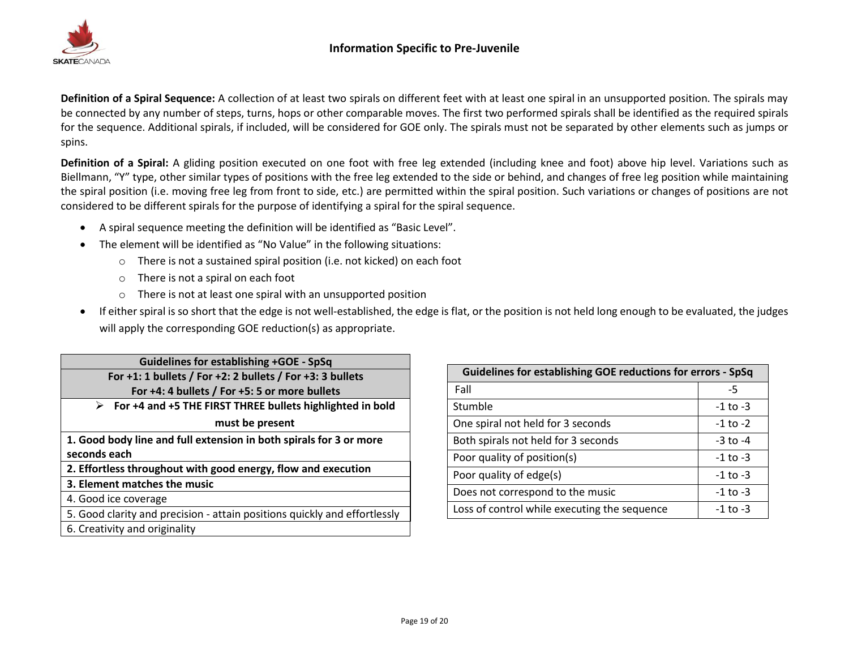

**Definition of a Spiral Sequence:** A collection of at least two spirals on different feet with at least one spiral in an unsupported position. The spirals may be connected by any number of steps, turns, hops or other comparable moves. The first two performed spirals shall be identified as the required spirals for the sequence. Additional spirals, if included, will be considered for GOE only. The spirals must not be separated by other elements such as jumps or spins.

**Definition of a Spiral:** A gliding position executed on one foot with free leg extended (including knee and foot) above hip level. Variations such as Biellmann, "Y" type, other similar types of positions with the free leg extended to the side or behind, and changes of free leg position while maintaining the spiral position (i.e. moving free leg from front to side, etc.) are permitted within the spiral position. Such variations or changes of positions are not considered to be different spirals for the purpose of identifying a spiral for the spiral sequence.

- A spiral sequence meeting the definition will be identified as "Basic Level".
- The element will be identified as "No Value" in the following situations:
	- o There is not a sustained spiral position (i.e. not kicked) on each foot
	- o There is not a spiral on each foot
	- o There is not at least one spiral with an unsupported position
- If either spiral is so short that the edge is not well-established, the edge is flat, or the position is not held long enough to be evaluated, the judges will apply the corresponding GOE reduction(s) as appropriate.

| <b>Guidelines for establishing +GOE - SpSq</b>                            |
|---------------------------------------------------------------------------|
| For +1: 1 bullets / For +2: 2 bullets / For +3: 3 bullets                 |
| For +4: 4 bullets / For +5: 5 or more bullets                             |
| For +4 and +5 THE FIRST THREE bullets highlighted in bold<br>➤            |
| must be present                                                           |
| 1. Good body line and full extension in both spirals for 3 or more        |
| seconds each                                                              |
| 2. Effortless throughout with good energy, flow and execution             |
| 3. Element matches the music                                              |
| 4. Good ice coverage                                                      |
| 5. Good clarity and precision - attain positions quickly and effortlessly |
| 6. Creativity and originality                                             |

| <b>Guidelines for establishing GOE reductions for errors - SpSq</b> |              |  |
|---------------------------------------------------------------------|--------------|--|
| Fall                                                                | -5           |  |
| Stumble                                                             | $-1$ to $-3$ |  |
| One spiral not held for 3 seconds                                   | $-1$ to $-2$ |  |
| Both spirals not held for 3 seconds                                 | $-3$ to $-4$ |  |
| Poor quality of position(s)                                         | $-1$ to $-3$ |  |
| Poor quality of edge(s)                                             | $-1$ to $-3$ |  |
| Does not correspond to the music                                    | $-1$ to $-3$ |  |
| Loss of control while executing the sequence                        | $-1$ to $-3$ |  |